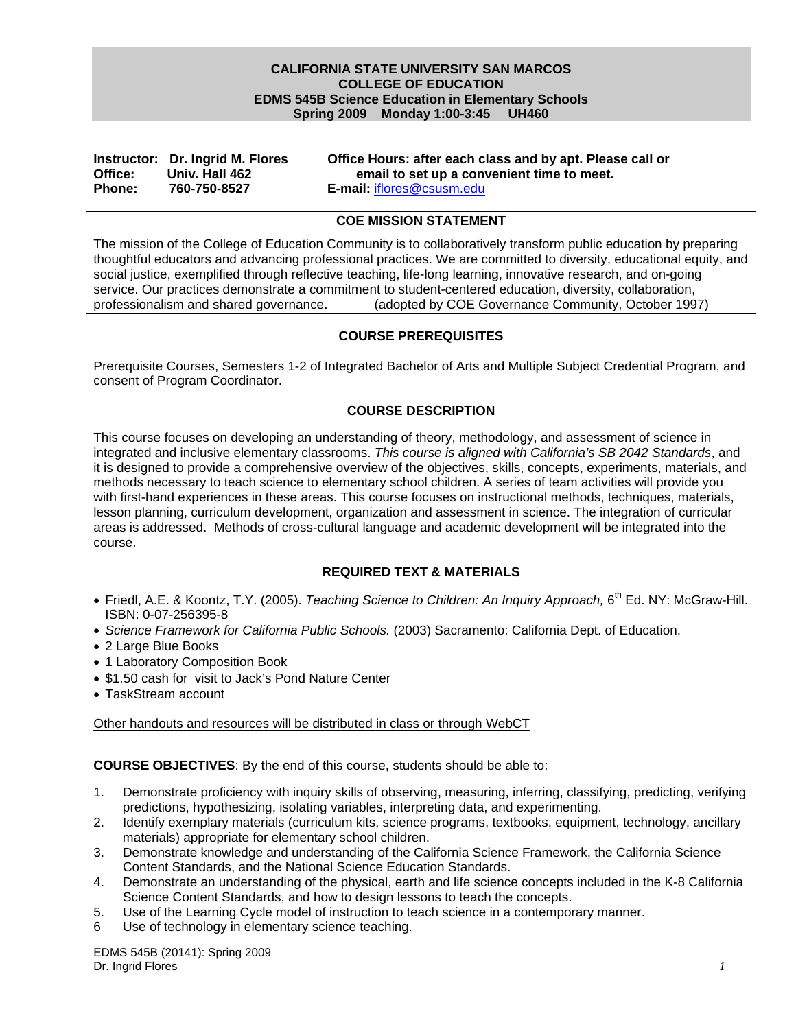### **UH460 CALIFORNIA STATE UNIVERSITY SAN MARCOS COLLEGE OF EDUCATION EDMS 545B Science Education in Elementary Schools**

|               |                                  | Spring 2009 Monday 1:00-3:45               | <b>UH460</b>                                              |
|---------------|----------------------------------|--------------------------------------------|-----------------------------------------------------------|
|               |                                  |                                            |                                                           |
|               |                                  |                                            |                                                           |
|               | Instructor: Dr. Ingrid M. Flores |                                            | Office Hours: after each class and by apt. Please call or |
| Office:       | Univ. Hall 462                   | email to set up a convenient time to meet. |                                                           |
| <b>Phone:</b> | 760-750-8527                     | E-mail: iflores@csusm.edu                  |                                                           |

### **COE MISSION STATEMENT**

The mission of the College of Education Community is to collaboratively transform public education by preparing thoughtful educators and advancing professional practices. We are committed to diversity, educational equity, and social justice, exemplified through reflective teaching, life-long learning, innovative research, and on-going service. Our practices demonstrate a commitment to student-centered education, diversity, collaboration, professionalism and shared governance. (adopted by COE Governance Community, October 1997)

## **COURSE PREREQUISITES**

Prerequisite Courses, Semesters 1-2 of Integrated Bachelor of Arts and Multiple Subject Credential Program, and consent of Program Coordinator.

## **COURSE DESCRIPTION**

This course focuses on developing an understanding of theory, methodology, and assessment of science in integrated and inclusive elementary classrooms. *This course is aligned with California's SB 2042 Standards*, and it is designed to provide a comprehensive overview of the objectives, skills, concepts, experiments, materials, and methods necessary to teach science to elementary school children. A series of team activities will provide you with first-hand experiences in these areas. This course focuses on instructional methods, techniques, materials, lesson planning, curriculum development, organization and assessment in science. The integration of curricular areas is addressed. Methods of cross-cultural language and academic development will be integrated into the course.

## **REQUIRED TEXT & MATERIALS**

- Friedl, A.E. & Koontz, T.Y. (2005). *Teaching Science to Children: An Inquiry Approach,* 6th Ed. NY: McGraw-Hill. ISBN: 0-07-256395-8
- *Science Framework for California Public Schools.* (2003) Sacramento: California Dept. of Education.
- 2 Large Blue Books
- 1 Laboratory Composition Book
- \$1.50 cash for visit to Jack's Pond Nature Center
- TaskStream account

## Other handouts and resources will be distributed in class or through WebCT

**COURSE OBJECTIVES**: By the end of this course, students should be able to:

- 1. Demonstrate proficiency with inquiry skills of observing, measuring, inferring, classifying, predicting, verifying predictions, hypothesizing, isolating variables, interpreting data, and experimenting.
- 2. Identify exemplary materials (curriculum kits, science programs, textbooks, equipment, technology, ancillary materials) appropriate for elementary school children.
- 3. Demonstrate knowledge and understanding of the California Science Framework, the California Science Content Standards, and the National Science Education Standards.
- 4. Demonstrate an understanding of the physical, earth and life science concepts included in the K-8 California Science Content Standards, and how to design lessons to teach the concepts.
- 5. Use of the Learning Cycle model of instruction to teach science in a contemporary manner.
- Use of technology in elementary science teaching. 6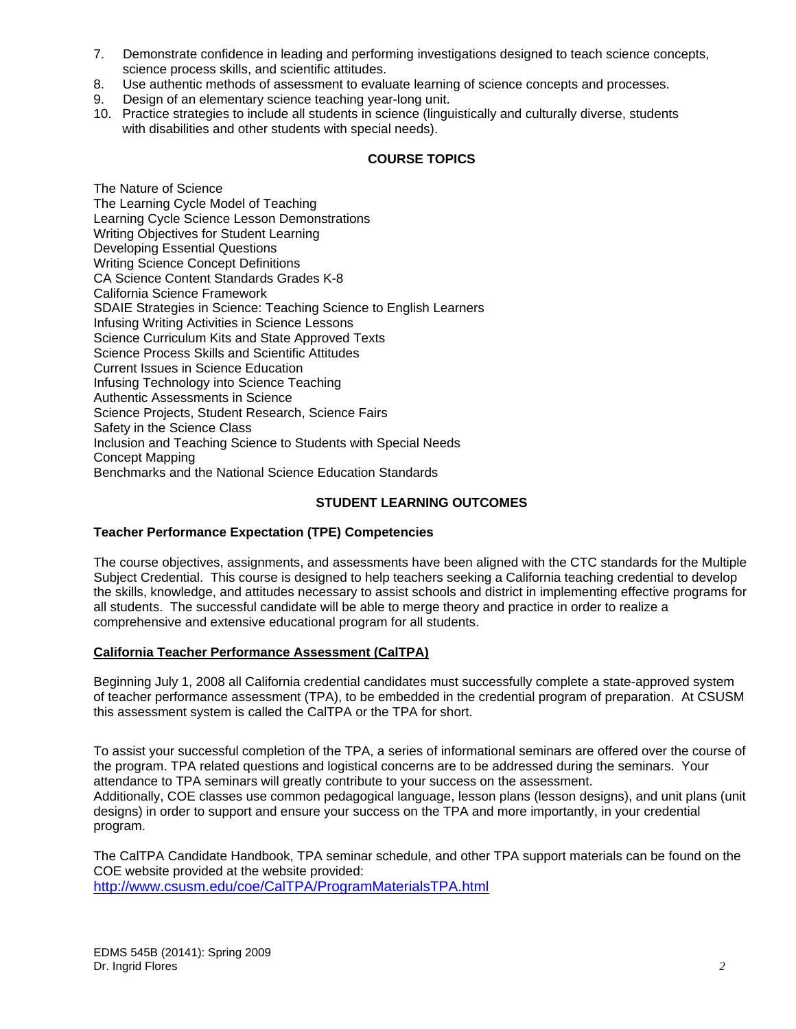- 7. Demonstrate confidence in leading and performing investigations designed to teach science concepts, science process skills, and scientific attitudes.
- 8. Use authentic methods of assessment to evaluate learning of science concepts and processes.
- 9. Design of an elementary science teaching year-long unit.
- 10. Practice strategies to include all students in science (linguistically and culturally diverse, students with disabilities and other students with special needs).

## **COURSE TOPICS**

The Nature of Science The Learning Cycle Model of Teaching Learning Cycle Science Lesson Demonstrations Writing Objectives for Student Learning Developing Essential Questions Writing Science Concept Definitions CA Science Content Standards Grades K-8 California Science Framework SDAIE Strategies in Science: Teaching Science to English Learners Infusing Writing Activities in Science Lessons Science Curriculum Kits and State Approved Texts Science Process Skills and Scientific Attitudes Current Issues in Science Education Infusing Technology into Science Teaching Authentic Assessments in Science Science Projects, Student Research, Science Fairs Safety in the Science Class Inclusion and Teaching Science to Students with Special Needs Concept Mapping Benchmarks and the National Science Education Standards

## **STUDENT LEARNING OUTCOMES**

## **Teacher Performance Expectation (TPE) Competencies**

The course objectives, assignments, and assessments have been aligned with the CTC standards for the Multiple Subject Credential. This course is designed to help teachers seeking a California teaching credential to develop the skills, knowledge, and attitudes necessary to assist schools and district in implementing effective programs for all students. The successful candidate will be able to merge theory and practice in order to realize a comprehensive and extensive educational program for all students.

### **California Teacher Performance Assessment (CalTPA)**

Beginning July 1, 2008 all California credential candidates must successfully complete a state-approved system of teacher performance assessment (TPA), to be embedded in the credential program of preparation. At CSUSM this assessment system is called the CalTPA or the TPA for short.

To assist your successful completion of the TPA, a series of informational seminars are offered over the course of the program. TPA related questions and logistical concerns are to be addressed during the seminars. Your attendance to TPA seminars will greatly contribute to your success on the assessment. Additionally, COE classes use common pedagogical language, lesson plans (lesson designs), and unit plans (unit designs) in order to support and ensure your success on the TPA and more importantly, in your credential program.

The CalTPA Candidate Handbook, TPA seminar schedule, and other TPA support materials can be found on the COE website provided at the website provided: http://www.csusm.edu/coe/CalTPA/ProgramMaterialsTPA.html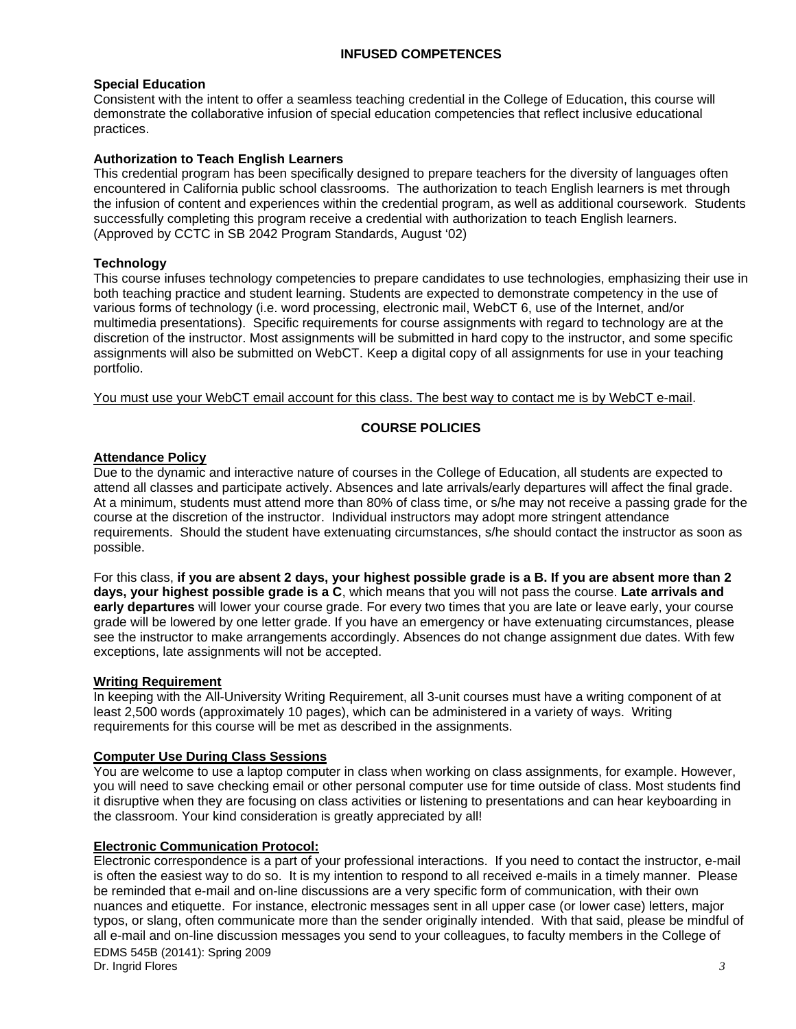## **INFUSED COMPETENCES**

## **Special Education**

Consistent with the intent to offer a seamless teaching credential in the College of Education, this course will demonstrate the collaborative infusion of special education competencies that reflect inclusive educational practices.

### **Authorization to Teach English Learners**

This credential program has been specifically designed to prepare teachers for the diversity of languages often encountered in California public school classrooms. The authorization to teach English learners is met through the infusion of content and experiences within the credential program, as well as additional coursework. Students successfully completing this program receive a credential with authorization to teach English learners. (Approved by CCTC in SB 2042 Program Standards, August '02)

## **Technology**

This course infuses technology competencies to prepare candidates to use technologies, emphasizing their use in both teaching practice and student learning. Students are expected to demonstrate competency in the use of various forms of technology (i.e. word processing, electronic mail, WebCT 6, use of the Internet, and/or multimedia presentations). Specific requirements for course assignments with regard to technology are at the discretion of the instructor. Most assignments will be submitted in hard copy to the instructor, and some specific assignments will also be submitted on WebCT. Keep a digital copy of all assignments for use in your teaching portfolio.

You must use your WebCT email account for this class. The best way to contact me is by WebCT e-mail.

## **COURSE POLICIES**

## **Attendance Policy**

Due to the dynamic and interactive nature of courses in the College of Education, all students are expected to attend all classes and participate actively. Absences and late arrivals/early departures will affect the final grade. At a minimum, students must attend more than 80% of class time, or s/he may not receive a passing grade for the course at the discretion of the instructor. Individual instructors may adopt more stringent attendance requirements. Should the student have extenuating circumstances, s/he should contact the instructor as soon as possible.

For this class, **if you are absent 2 days, your highest possible grade is a B. If you are absent more than 2 days, your highest possible grade is a C**, which means that you will not pass the course. **Late arrivals and early departures** will lower your course grade. For every two times that you are late or leave early, your course grade will be lowered by one letter grade. If you have an emergency or have extenuating circumstances, please see the instructor to make arrangements accordingly. Absences do not change assignment due dates. With few exceptions, late assignments will not be accepted.

### **Writing Requirement**

In keeping with the All-University Writing Requirement, all 3-unit courses must have a writing component of at least 2,500 words (approximately 10 pages), which can be administered in a variety of ways. Writing requirements for this course will be met as described in the assignments.

### **Computer Use During Class Sessions**

You are welcome to use a laptop computer in class when working on class assignments, for example. However, you will need to save checking email or other personal computer use for time outside of class. Most students find it disruptive when they are focusing on class activities or listening to presentations and can hear keyboarding in the classroom. Your kind consideration is greatly appreciated by all!

### **Electronic Communication Protocol:**

Electronic correspondence is a part of your professional interactions. If you need to contact the instructor, e-mail is often the easiest way to do so. It is my intention to respond to all received e-mails in a timely manner. Please be reminded that e-mail and on-line discussions are a very specific form of communication, with their own nuances and etiquette. For instance, electronic messages sent in all upper case (or lower case) letters, major typos, or slang, often communicate more than the sender originally intended. With that said, please be mindful of all e-mail and on-line discussion messages you send to your colleagues, to faculty members in the College of EDMS 545B (20141): Spring 2009 Dr. Ingrid Flores *3*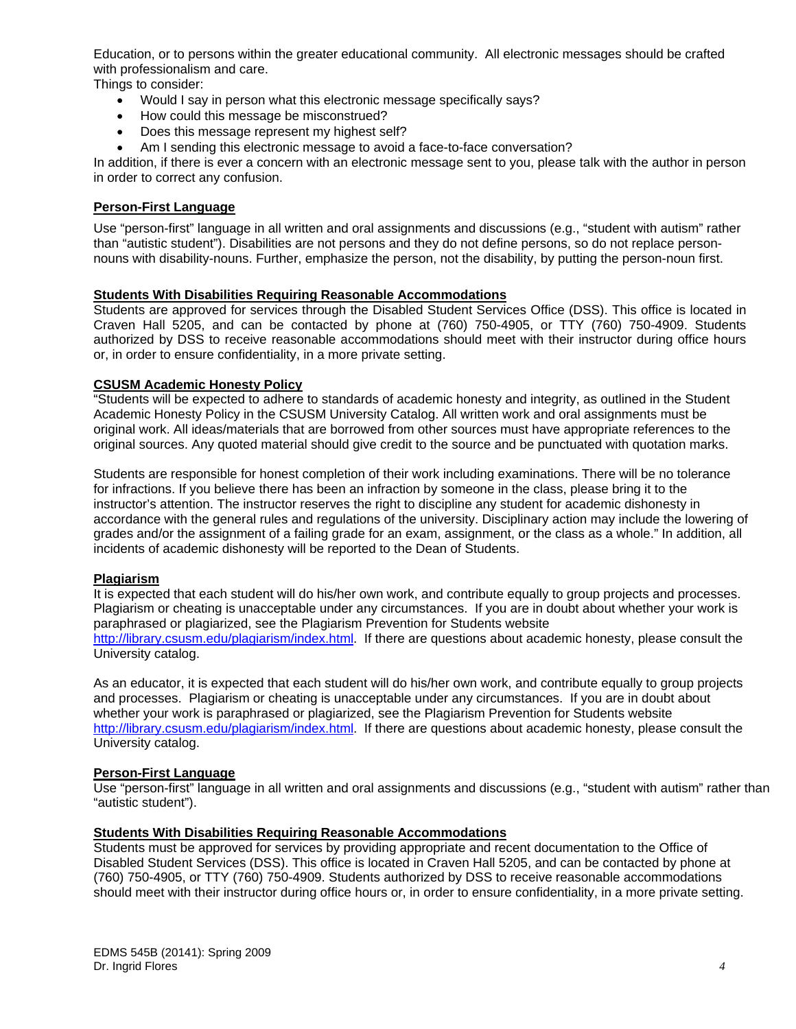Education, or to persons within the greater educational community. All electronic messages should be crafted with professionalism and care.

Things to consider:

- Would I say in person what this electronic message specifically says?
- How could this message be misconstrued?
- Does this message represent my highest self?
- Am I sending this electronic message to avoid a face-to-face conversation?

In addition, if there is ever a concern with an electronic message sent to you, please talk with the author in person in order to correct any confusion.

## **Person-First Language**

Use "person-first" language in all written and oral assignments and discussions (e.g., "student with autism" rather than "autistic student"). Disabilities are not persons and they do not define persons, so do not replace personnouns with disability-nouns. Further, emphasize the person, not the disability, by putting the person-noun first.

### **Students With Disabilities Requiring Reasonable Accommodations**

Students are approved for services through the Disabled Student Services Office (DSS). This office is located in Craven Hall 5205, and can be contacted by phone at (760) 750-4905, or TTY (760) 750-4909. Students authorized by DSS to receive reasonable accommodations should meet with their instructor during office hours or, in order to ensure confidentiality, in a more private setting.

### **CSUSM Academic Honesty Policy**

"Students will be expected to adhere to standards of academic honesty and integrity, as outlined in the Student Academic Honesty Policy in the CSUSM University Catalog. All written work and oral assignments must be original work. All ideas/materials that are borrowed from other sources must have appropriate references to the original sources. Any quoted material should give credit to the source and be punctuated with quotation marks.

Students are responsible for honest completion of their work including examinations. There will be no tolerance for infractions. If you believe there has been an infraction by someone in the class, please bring it to the instructor's attention. The instructor reserves the right to discipline any student for academic dishonesty in accordance with the general rules and regulations of the university. Disciplinary action may include the lowering of grades and/or the assignment of a failing grade for an exam, assignment, or the class as a whole." In addition, all incidents of academic dishonesty will be reported to the Dean of Students.

### **Plagiarism**

It is expected that each student will do his/her own work, and contribute equally to group projects and processes. Plagiarism or cheating is unacceptable under any circumstances. If you are in doubt about whether your work is paraphrased or plagiarized, see the Plagiarism Prevention for Students website http://library.csusm.edu/plagiarism/index.html. If there are questions about academic honesty, please consult the University catalog.

As an educator, it is expected that each student will do his/her own work, and contribute equally to group projects and processes. Plagiarism or cheating is unacceptable under any circumstances. If you are in doubt about whether your work is paraphrased or plagiarized, see the Plagiarism Prevention for Students website http://library.csusm.edu/plagiarism/index.html. If there are questions about academic honesty, please consult the University catalog.

### **Person-First Language**

Use "person-first" language in all written and oral assignments and discussions (e.g., "student with autism" rather than "autistic student").

### **Students With Disabilities Requiring Reasonable Accommodations**

Students must be approved for services by providing appropriate and recent documentation to the Office of Disabled Student Services (DSS). This office is located in Craven Hall 5205, and can be contacted by phone at (760) 750-4905, or TTY (760) 750-4909. Students authorized by DSS to receive reasonable accommodations should meet with their instructor during office hours or, in order to ensure confidentiality, in a more private setting.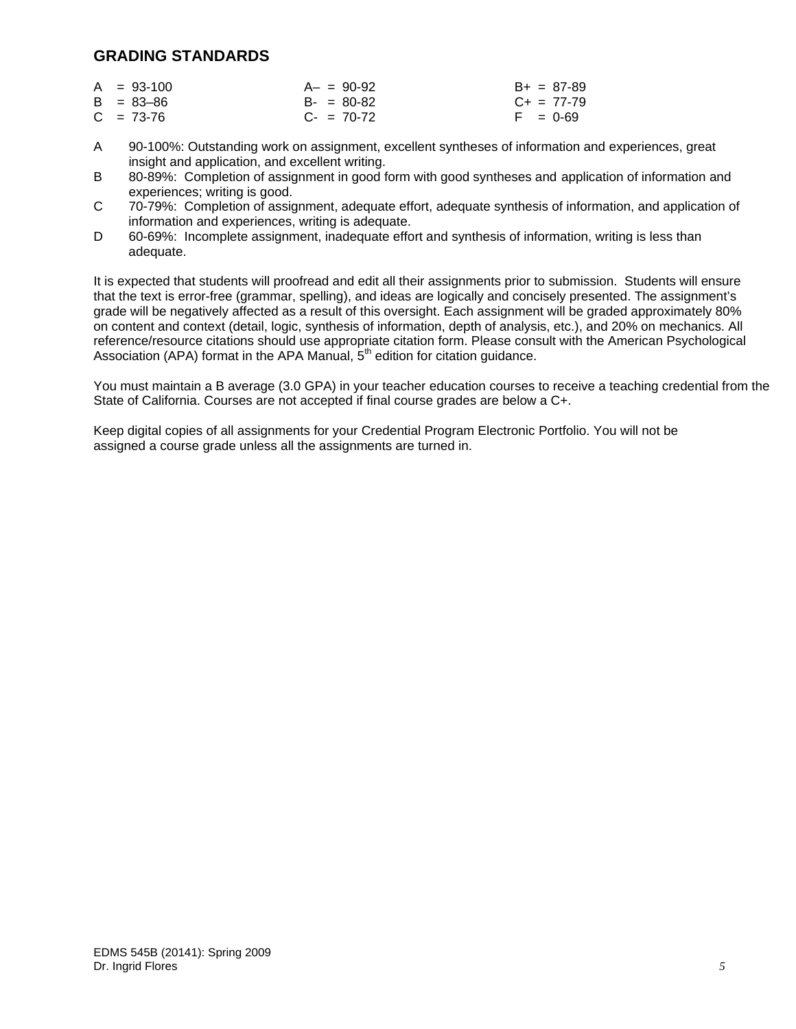# **GRADING STANDARDS**

| $A = 93-100$  | $A - = 90 - 92$ | $B+ = 87-89$    |
|---------------|-----------------|-----------------|
| $B = 83 - 86$ | $B - = 80 - 82$ | $C_{+}$ = 77-79 |
| $C = 73-76$   | $C - = 70-72$   | $F = 0.69$      |

- A 90-100%: Outstanding work on assignment, excellent syntheses of information and experiences, great insight and application, and excellent writing.
- B 80-89%: Completion of assignment in good form with good syntheses and application of information and experiences; writing is good.
- C 70-79%: Completion of assignment, adequate effort, adequate synthesis of information, and application of information and experiences, writing is adequate.
- D 60-69%: Incomplete assignment, inadequate effort and synthesis of information, writing is less than adequate.

It is expected that students will proofread and edit all their assignments prior to submission. Students will ensure that the text is error-free (grammar, spelling), and ideas are logically and concisely presented. The assignment's grade will be negatively affected as a result of this oversight. Each assignment will be graded approximately 80% on content and context (detail, logic, synthesis of information, depth of analysis, etc.), and 20% on mechanics. All reference/resource citations should use appropriate citation form. Please consult with the American Psychological Association (APA) format in the APA Manual,  $5<sup>th</sup>$  edition for citation guidance.

You must maintain a B average (3.0 GPA) in your teacher education courses to receive a teaching credential from the State of California. Courses are not accepted if final course grades are below a C+.

 assigned a course grade unless all the assignments are turned in. Keep digital copies of all assignments for your Credential Program Electronic Portfolio. You will not be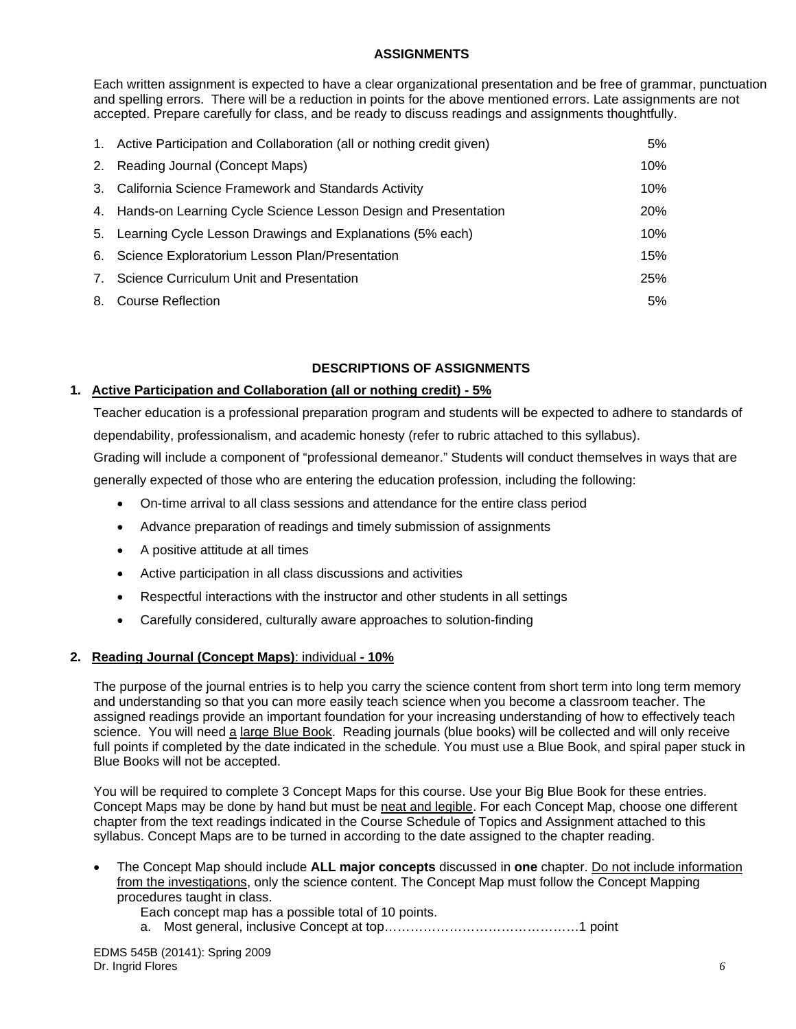## **ASSIGNMENTS**

Each written assignment is expected to have a clear organizational presentation and be free of grammar, punctuation and spelling errors. There will be a reduction in points for the above mentioned errors. Late assignments are not accepted. Prepare carefully for class, and be ready to discuss readings and assignments thoughtfully.

|    | 1. Active Participation and Collaboration (all or nothing credit given) | 5%         |
|----|-------------------------------------------------------------------------|------------|
|    | 2. Reading Journal (Concept Maps)                                       | 10%        |
|    | 3. California Science Framework and Standards Activity                  | 10%        |
|    | 4. Hands-on Learning Cycle Science Lesson Design and Presentation       | <b>20%</b> |
|    | 5. Learning Cycle Lesson Drawings and Explanations (5% each)            | 10%        |
|    | 6. Science Exploratorium Lesson Plan/Presentation                       | 15%        |
| 7. | Science Curriculum Unit and Presentation                                | 25%        |
|    | 8. Course Reflection                                                    | 5%         |

## **DESCRIPTIONS OF ASSIGNMENTS**

## **1. Active Participation and Collaboration (all or nothing credit) - 5%**

Teacher education is a professional preparation program and students will be expected to adhere to standards of dependability, professionalism, and academic honesty (refer to rubric attached to this syllabus). Grading will include a component of "professional demeanor." Students will conduct themselves in ways that are generally expected of those who are entering the education profession, including the following:

- • On-time arrival to all class sessions and attendance for the entire class period
- Advance preparation of readings and timely submission of assignments
- • A positive attitude at all times
- Active participation in all class discussions and activities
- Respectful interactions with the instructor and other students in all settings
- Carefully considered, culturally aware approaches to solution-finding

### **2. Reading Journal (Concept Maps)**: individual **- 10%**

The purpose of the journal entries is to help you carry the science content from short term into long term memory and understanding so that you can more easily teach science when you become a classroom teacher. The assigned readings provide an important foundation for your increasing understanding of how to effectively teach science. You will need a large Blue Book. Reading journals (blue books) will be collected and will only receive full points if completed by the date indicated in the schedule. You must use a Blue Book, and spiral paper stuck in Blue Books will not be accepted.

You will be required to complete 3 Concept Maps for this course. Use your Big Blue Book for these entries. Concept Maps may be done by hand but must be neat and legible. For each Concept Map, choose one different chapter from the text readings indicated in the Course Schedule of Topics and Assignment attached to this syllabus. Concept Maps are to be turned in according to the date assigned to the chapter reading.

- The Concept Map should include **ALL major concepts** discussed in **one** chapter. Do not include information from the investigations, only the science content. The Concept Map must follow the Concept Mapping procedures taught in class.
	- Each concept map has a possible total of 10 points.
	- a. Most general, inclusive Concept at top………………………………………1 point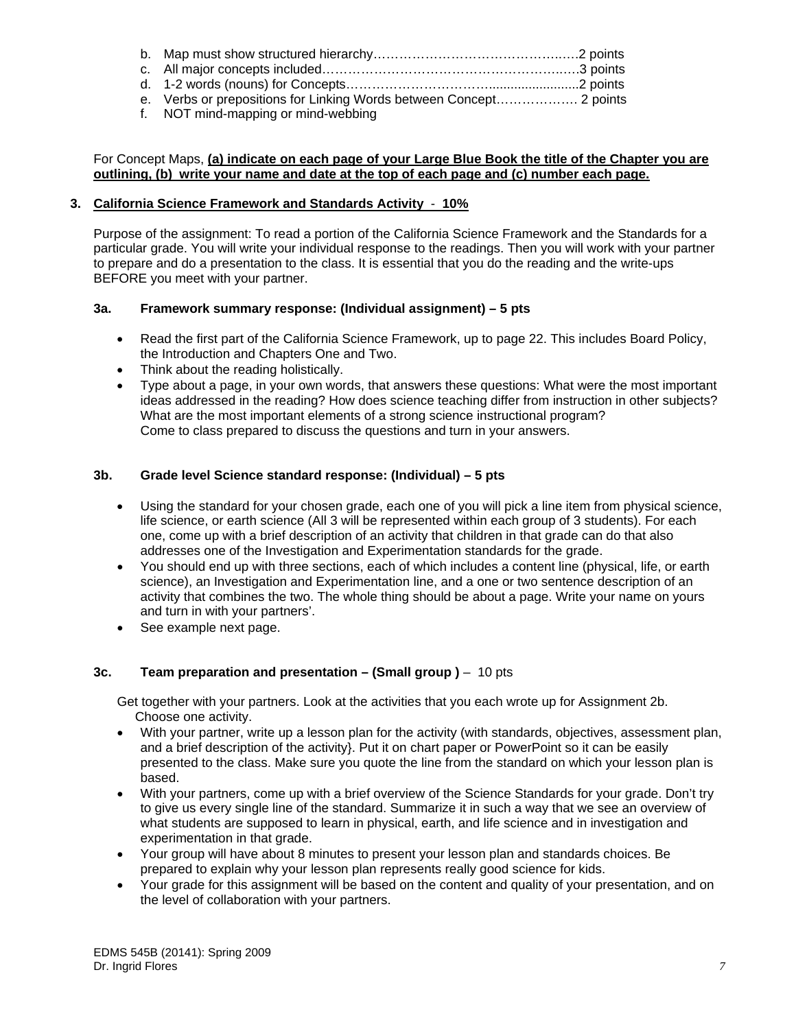| e. Verbs or prepositions for Linking Words between Concept 2 points |  |
|---------------------------------------------------------------------|--|

f. NOT mind-mapping or mind-webbing

## For Concept Maps, **(a) indicate on each page of your Large Blue Book the title of the Chapter you are outlining, (b) write your name and date at the top of each page and (c) number each page.**

# **3. California Science Framework and Standards Activity** - **10%**

Purpose of the assignment: To read a portion of the California Science Framework and the Standards for a particular grade. You will write your individual response to the readings. Then you will work with your partner to prepare and do a presentation to the class. It is essential that you do the reading and the write-ups BEFORE you meet with your partner.

## **3a. Framework summary response: (Individual assignment) – 5 pts**

- Read the first part of the California Science Framework, up to page 22. This includes Board Policy, the Introduction and Chapters One and Two.
- Think about the reading holistically.
- Type about a page, in your own words, that answers these questions: What were the most important ideas addressed in the reading? How does science teaching differ from instruction in other subjects? What are the most important elements of a strong science instructional program? Come to class prepared to discuss the questions and turn in your answers.

# **3b. Grade level Science standard response: (Individual) – 5 pts**

- Using the standard for your chosen grade, each one of you will pick a line item from physical science, life science, or earth science (All 3 will be represented within each group of 3 students). For each one, come up with a brief description of an activity that children in that grade can do that also addresses one of the Investigation and Experimentation standards for the grade.
- You should end up with three sections, each of which includes a content line (physical, life, or earth science), an Investigation and Experimentation line, and a one or two sentence description of an activity that combines the two. The whole thing should be about a page. Write your name on yours and turn in with your partners'.
- See example next page.

## **3c.** Team preparation and presentation – (Small group ) – 10 pts

Get together with your partners. Look at the activities that you each wrote up for Assignment 2b. Choose one activity.

- With your partner, write up a lesson plan for the activity (with standards, objectives, assessment plan, and a brief description of the activity}. Put it on chart paper or PowerPoint so it can be easily presented to the class. Make sure you quote the line from the standard on which your lesson plan is based.
- With your partners, come up with a brief overview of the Science Standards for your grade. Don't try to give us every single line of the standard. Summarize it in such a way that we see an overview of what students are supposed to learn in physical, earth, and life science and in investigation and experimentation in that grade.
- Your group will have about 8 minutes to present your lesson plan and standards choices. Be prepared to explain why your lesson plan represents really good science for kids.
- Your grade for this assignment will be based on the content and quality of your presentation, and on the level of collaboration with your partners.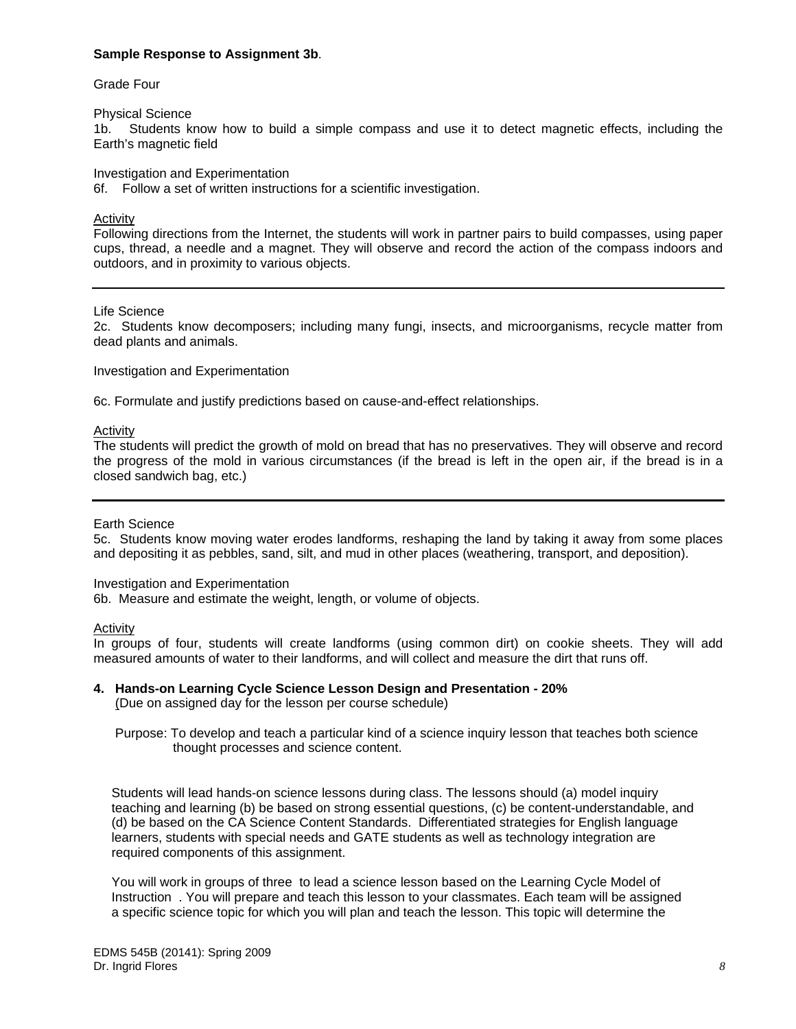### **Sample Response to Assignment 3b**.

Grade Four

Physical Science

1b. Students know how to build a simple compass and use it to detect magnetic effects, including the Earth's magnetic field

Investigation and Experimentation

6f. Follow a set of written instructions for a scientific investigation.

### Activity

Following directions from the Internet, the students will work in partner pairs to build compasses, using paper cups, thread, a needle and a magnet. They will observe and record the action of the compass indoors and outdoors, and in proximity to various objects.

### Life Science

2c. Students know decomposers; including many fungi, insects, and microorganisms, recycle matter from dead plants and animals.

Investigation and Experimentation

6c. Formulate and justify predictions based on cause-and-effect relationships.

#### Activity

 the progress of the mold in various circumstances (if the bread is left in the open air, if the bread is in a The students will predict the growth of mold on bread that has no preservatives. They will observe and record closed sandwich bag, etc.)

### Earth Science

5c. Students know moving water erodes landforms, reshaping the land by taking it away from some places and depositing it as pebbles, sand, silt, and mud in other places (weathering, transport, and deposition).

### Investigation and Experimentation

6b. Measure and estimate the weight, length, or volume of objects.

#### **Activity**

In groups of four, students will create landforms (using common dirt) on cookie sheets. They will add measured amounts of water to their landforms, and will collect and measure the dirt that runs off.

**4. Hands-on Learning Cycle Science Lesson Design and Presentation - 20%**

(Due on assigned day for the lesson per course schedule)

 Purpose: To develop and teach a particular kind of a science inquiry lesson that teaches both science thought processes and science content.

 Students will lead hands-on science lessons during class. The lessons should (a) model inquiry teaching and learning (b) be based on strong essential questions, (c) be content-understandable, and (d) be based on the CA Science Content Standards. Differentiated strategies for English language learners, students with special needs and GATE students as well as technology integration are required components of this assignment.

 You will work in groups of three to lead a science lesson based on the Learning Cycle Model of Instruction . You will prepare and teach this lesson to your classmates. Each team will be assigned a specific science topic for which you will plan and teach the lesson. This topic will determine the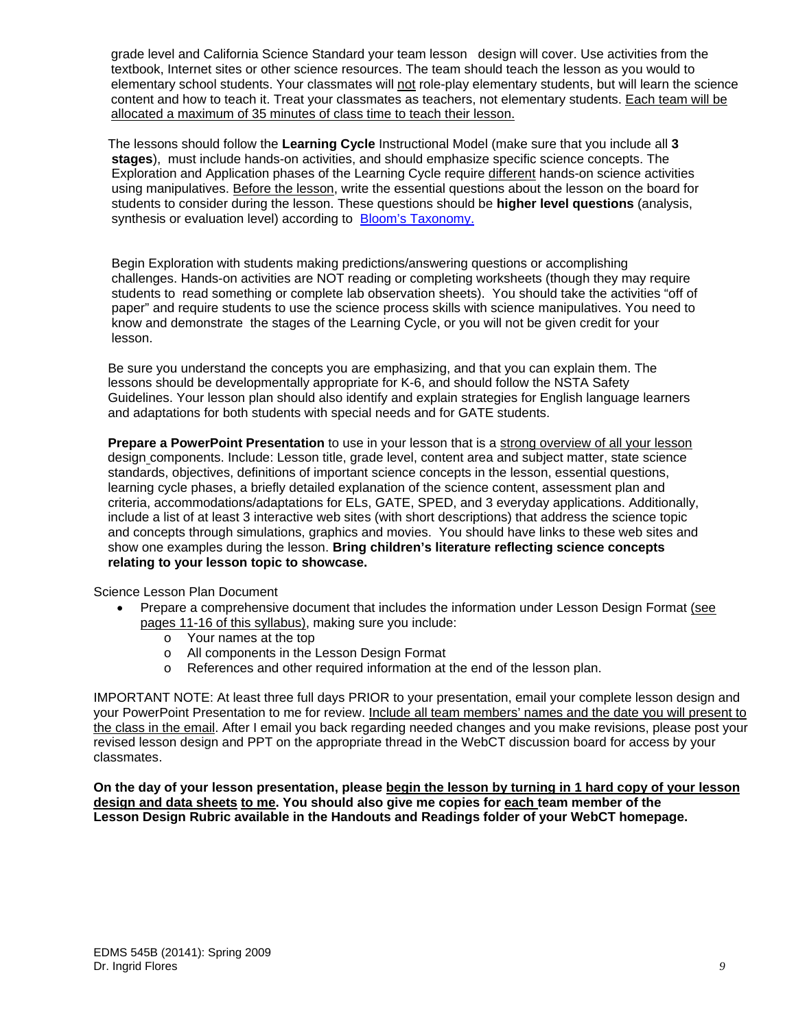grade level and California Science Standard your team lesson design will cover. Use activities from the textbook, Internet sites or other science resources. The team should teach the lesson as you would to elementary school students. Your classmates will not role-play elementary students, but will learn the science content and how to teach it. Treat your classmates as teachers, not elementary students. Each team will be allocated a maximum of 35 minutes of class time to teach their lesson.

 The lessons should follow the **Learning Cycle** Instructional Model (make sure that you include all **3 stages**), must include hands-on activities, and should emphasize specific science concepts. The Exploration and Application phases of the Learning Cycle require different hands-on science activities using manipulatives. Before the lesson, write the essential questions about the lesson on the board for students to consider during the lesson. These questions should be **higher level questions** (analysis, synthesis or evaluation level) according to **Bloom's Taxonomy**.

 Begin Exploration with students making predictions/answering questions or accomplishing challenges. Hands-on activities are NOT reading or completing worksheets (though they may require students to read something or complete lab observation sheets). You should take the activities "off of paper" and require students to use the science process skills with science manipulatives. You need to know and demonstrate the stages of the Learning Cycle, or you will not be given credit for your lesson.

 Be sure you understand the concepts you are emphasizing, and that you can explain them. The lessons should be developmentally appropriate for K-6, and should follow the NSTA Safety Guidelines. Your lesson plan should also identify and explain strategies for English language learners and adaptations for both students with special needs and for GATE students.

**Prepare a PowerPoint Presentation** to use in your lesson that is a strong overview of all your lesson design components. Include: Lesson title, grade level, content area and subject matter, state science standards, objectives, definitions of important science concepts in the lesson, essential questions, learning cycle phases, a briefly detailed explanation of the science content, assessment plan and criteria, accommodations/adaptations for ELs, GATE, SPED, and 3 everyday applications. Additionally, include a list of at least 3 interactive web sites (with short descriptions) that address the science topic and concepts through simulations, graphics and movies. You should have links to these web sites and show one examples during the lesson. **Bring children's literature reflecting science concepts relating to your lesson topic to showcase.**

Science Lesson Plan Document

- Prepare a comprehensive document that includes the information under Lesson Design Format (see pages 11-16 of this syllabus), making sure you include:
	- o Your names at the top
	- o All components in the Lesson Design Format
	- o References and other required information at the end of the lesson plan.

 classmates. IMPORTANT NOTE: At least three full days PRIOR to your presentation, email your complete lesson design and your PowerPoint Presentation to me for review. Include all team members' names and the date you will present to the class in the email. After I email you back regarding needed changes and you make revisions, please post your revised lesson design and PPT on the appropriate thread in the WebCT discussion board for access by your

**On the day of your lesson presentation, please begin the lesson by turning in 1 hard copy of your lesson design and data sheets to me. You should also give me copies for each team member of the Lesson Design Rubric available in the Handouts and Readings folder of your WebCT homepage.**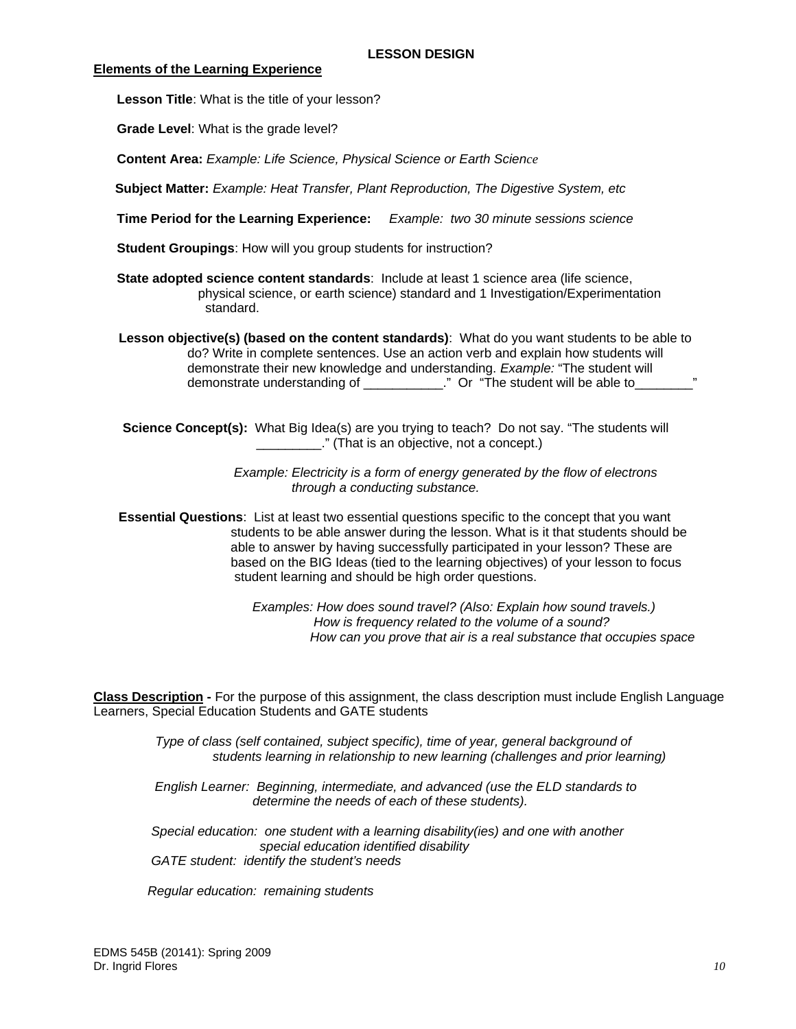## **Elements of the Learning Experience**

**Lesson Title**: What is the title of your lesson?

**Grade Level**: What is the grade level?

**Content Area:** *Example: Life Science, Physical Science or Earth Science*

 **Subject Matter:** *Example: Heat Transfer, Plant Reproduction, The Digestive System, etc* 

**Time Period for the Learning Experience:** *Example: two 30 minute sessions science* 

**Student Groupings**: How will you group students for instruction?

**State adopted science content standards**: Include at least 1 science area (life science, physical science, or earth science) standard and 1 Investigation/Experimentation standard.

**Lesson objective(s) (based on the content standards)**: What do you want students to be able to do? Write in complete sentences. Use an action verb and explain how students will demonstrate their new knowledge and understanding. *Example:* "The student will demonstrate understanding of \_\_\_\_\_\_\_\_\_\_\_." Or "The student will be able to

**Science Concept(s):** What Big Idea(s) are you trying to teach? Do not say. "The students will \_\_\_\_\_\_\_\_\_." (That is an objective, not a concept.)

> *Example: Electricity is a form of energy generated by the flow of electrons through a conducting substance.*

 **Essential Questions**: List at least two essential questions specific to the concept that you want students to be able answer during the lesson. What is it that students should be able to answer by having successfully participated in your lesson? These are based on the BIG Ideas (tied to the learning objectives) of your lesson to focus student learning and should be high order questions.

> *How can you prove that air is a real substance that occupies space Examples: How does sound travel? (Also: Explain how sound travels.) How is frequency related to the volume of a sound?*

**Class Description -** For the purpose of this assignment, the class description must include English Language Learners, Special Education Students and GATE students

*Type of class (self contained, subject specific), time of year, general background of students learning in relationship to new learning (challenges and prior learning)* 

 *English Learner: Beginning, intermediate, and advanced (use the ELD standards to determine the needs of each of these students).* 

 *Special education: one student with a learning disability(ies) and one with another special education identified disability GATE student: identify the student's needs* 

 *Regular education: remaining students*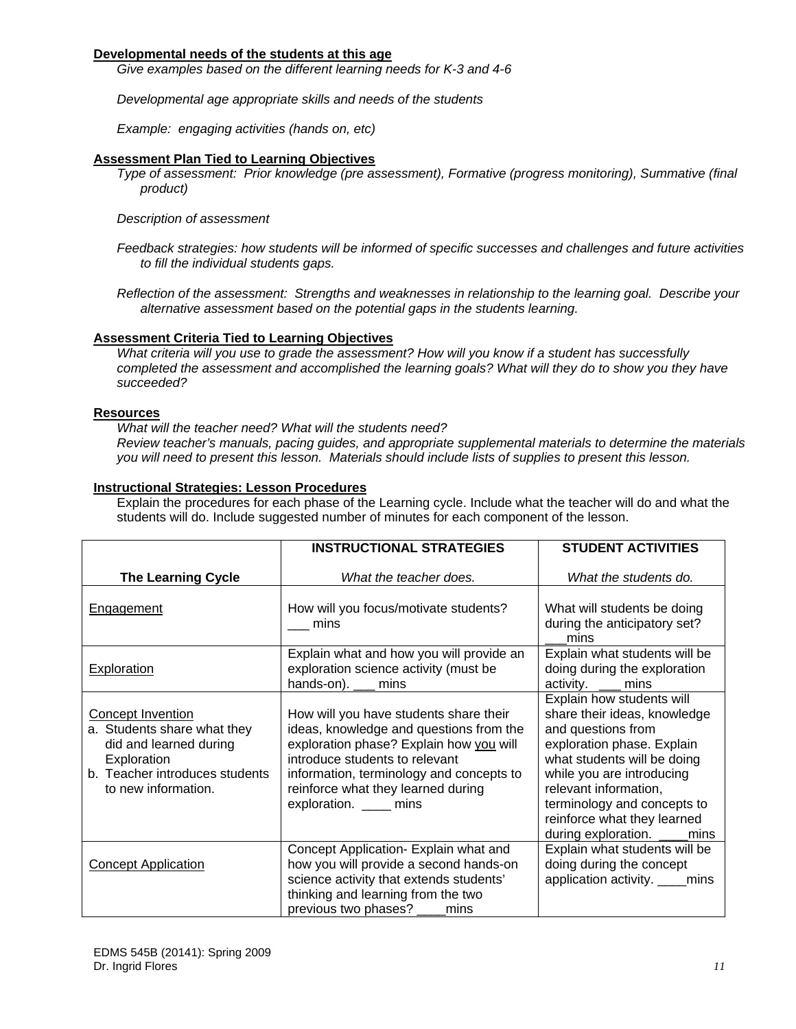### **Developmental needs of the students at this age**

*Give examples based on the different learning needs for K-3 and 4-6* 

*Developmental age appropriate skills and needs of the students* 

*Example: engaging activities (hands on, etc)* 

#### **Assessment Plan Tied to Learning Objectives**

*Type of assessment: Prior knowledge (pre assessment), Formative (progress monitoring), Summative (final product)* 

*Description of assessment* 

*Feedback strategies: how students will be informed of specific successes and challenges and future activities to fill the individual students gaps.* 

*Reflection of the assessment: Strengths and weaknesses in relationship to the learning goal. Describe your alternative assessment based on the potential gaps in the students learning.* 

#### **Assessment Criteria Tied to Learning Objectives**

*What criteria will you use to grade the assessment? How will you know if a student has successfully completed the assessment and accomplished the learning goals? What will they do to show you they have succeeded?* 

#### **Resources**

*What will the teacher need? What will the students need? Review teacher's manuals, pacing guides, and appropriate supplemental materials to determine the materials you will need to present this lesson. Materials should include lists of supplies to present this lesson.* 

#### **Instructional Strategies: Lesson Procedures**

Explain the procedures for each phase of the Learning cycle. Include what the teacher will do and what the students will do. Include suggested number of minutes for each component of the lesson.

|                                                                                                                                                    | <b>INSTRUCTIONAL STRATEGIES</b>                                                                                                                                                                                                                                             | <b>STUDENT ACTIVITIES</b>                                                                                                                                                                                                                                                                        |
|----------------------------------------------------------------------------------------------------------------------------------------------------|-----------------------------------------------------------------------------------------------------------------------------------------------------------------------------------------------------------------------------------------------------------------------------|--------------------------------------------------------------------------------------------------------------------------------------------------------------------------------------------------------------------------------------------------------------------------------------------------|
| <b>The Learning Cycle</b>                                                                                                                          | What the teacher does.                                                                                                                                                                                                                                                      | What the students do.                                                                                                                                                                                                                                                                            |
| Engagement                                                                                                                                         | How will you focus/motivate students?<br>$\equiv$ mins                                                                                                                                                                                                                      | What will students be doing<br>during the anticipatory set?<br>mins                                                                                                                                                                                                                              |
| <b>Exploration</b>                                                                                                                                 | Explain what and how you will provide an<br>exploration science activity (must be<br>$hands-on$ . $mins$                                                                                                                                                                    | Explain what students will be<br>doing during the exploration<br>activity. __ mins                                                                                                                                                                                                               |
| Concept Invention<br>a. Students share what they<br>did and learned during<br>Exploration<br>b. Teacher introduces students<br>to new information. | How will you have students share their<br>ideas, knowledge and questions from the<br>exploration phase? Explain how you will<br>introduce students to relevant<br>information, terminology and concepts to<br>reinforce what they learned during<br>exploration. _____ mins | Explain how students will<br>share their ideas, knowledge<br>and questions from<br>exploration phase. Explain<br>what students will be doing<br>while you are introducing<br>relevant information,<br>terminology and concepts to<br>reinforce what they learned<br>during exploration. ____mins |
| <b>Concept Application</b>                                                                                                                         | Concept Application- Explain what and<br>how you will provide a second hands-on<br>science activity that extends students'<br>thinking and learning from the two<br>previous two phases? ____ mins                                                                          | Explain what students will be<br>doing during the concept<br>application activity. ____mins                                                                                                                                                                                                      |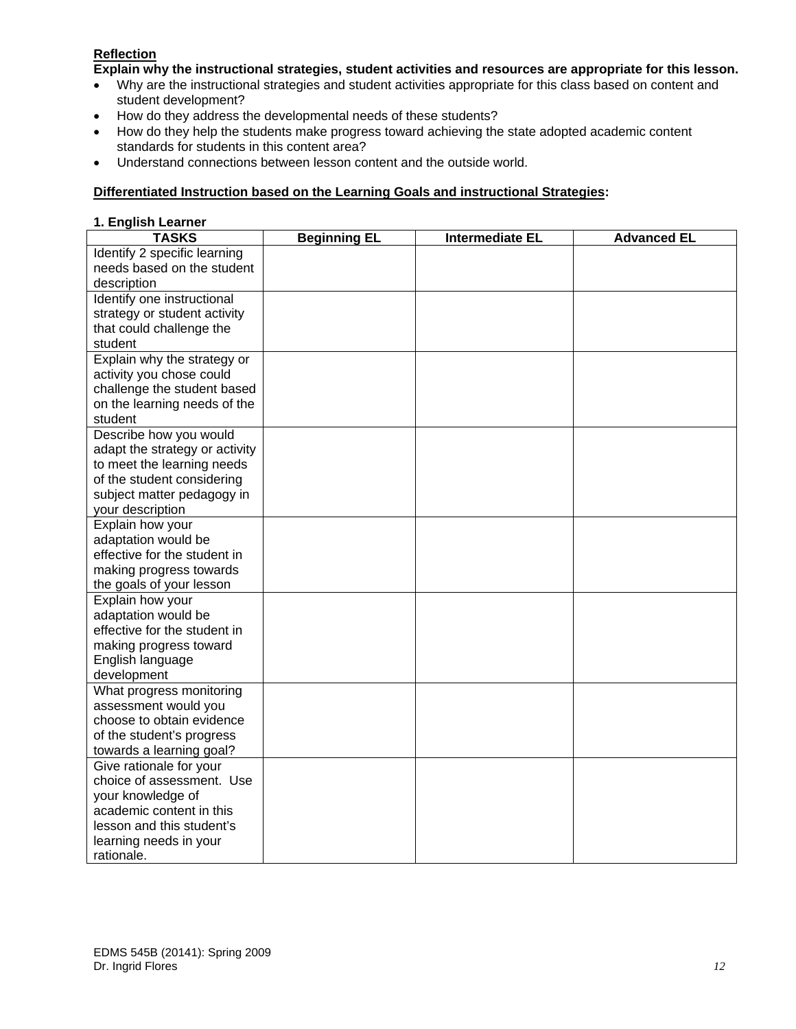# **Reflection**

## **Explain why the instructional strategies, student activities and resources are appropriate for this lesson.**

- Why are the instructional strategies and student activities appropriate for this class based on content and student development?
- How do they address the developmental needs of these students?
- How do they help the students make progress toward achieving the state adopted academic content standards for students in this content area?
- Understand connections between lesson content and the outside world.

## **Differentiated Instruction based on the Learning Goals and instructional Strategies:**

| 1. English Learner             |                     |                        |                    |
|--------------------------------|---------------------|------------------------|--------------------|
| <b>TASKS</b>                   | <b>Beginning EL</b> | <b>Intermediate EL</b> | <b>Advanced EL</b> |
| Identify 2 specific learning   |                     |                        |                    |
| needs based on the student     |                     |                        |                    |
| description                    |                     |                        |                    |
| Identify one instructional     |                     |                        |                    |
| strategy or student activity   |                     |                        |                    |
| that could challenge the       |                     |                        |                    |
| student                        |                     |                        |                    |
| Explain why the strategy or    |                     |                        |                    |
| activity you chose could       |                     |                        |                    |
| challenge the student based    |                     |                        |                    |
| on the learning needs of the   |                     |                        |                    |
| student                        |                     |                        |                    |
| Describe how you would         |                     |                        |                    |
| adapt the strategy or activity |                     |                        |                    |
| to meet the learning needs     |                     |                        |                    |
| of the student considering     |                     |                        |                    |
| subject matter pedagogy in     |                     |                        |                    |
| your description               |                     |                        |                    |
| Explain how your               |                     |                        |                    |
| adaptation would be            |                     |                        |                    |
| effective for the student in   |                     |                        |                    |
| making progress towards        |                     |                        |                    |
| the goals of your lesson       |                     |                        |                    |
| Explain how your               |                     |                        |                    |
| adaptation would be            |                     |                        |                    |
| effective for the student in   |                     |                        |                    |
| making progress toward         |                     |                        |                    |
| English language               |                     |                        |                    |
| development                    |                     |                        |                    |
| What progress monitoring       |                     |                        |                    |
| assessment would you           |                     |                        |                    |
| choose to obtain evidence      |                     |                        |                    |
| of the student's progress      |                     |                        |                    |
| towards a learning goal?       |                     |                        |                    |
| Give rationale for your        |                     |                        |                    |
| choice of assessment. Use      |                     |                        |                    |
| your knowledge of              |                     |                        |                    |
| academic content in this       |                     |                        |                    |
| lesson and this student's      |                     |                        |                    |
| learning needs in your         |                     |                        |                    |
| rationale.                     |                     |                        |                    |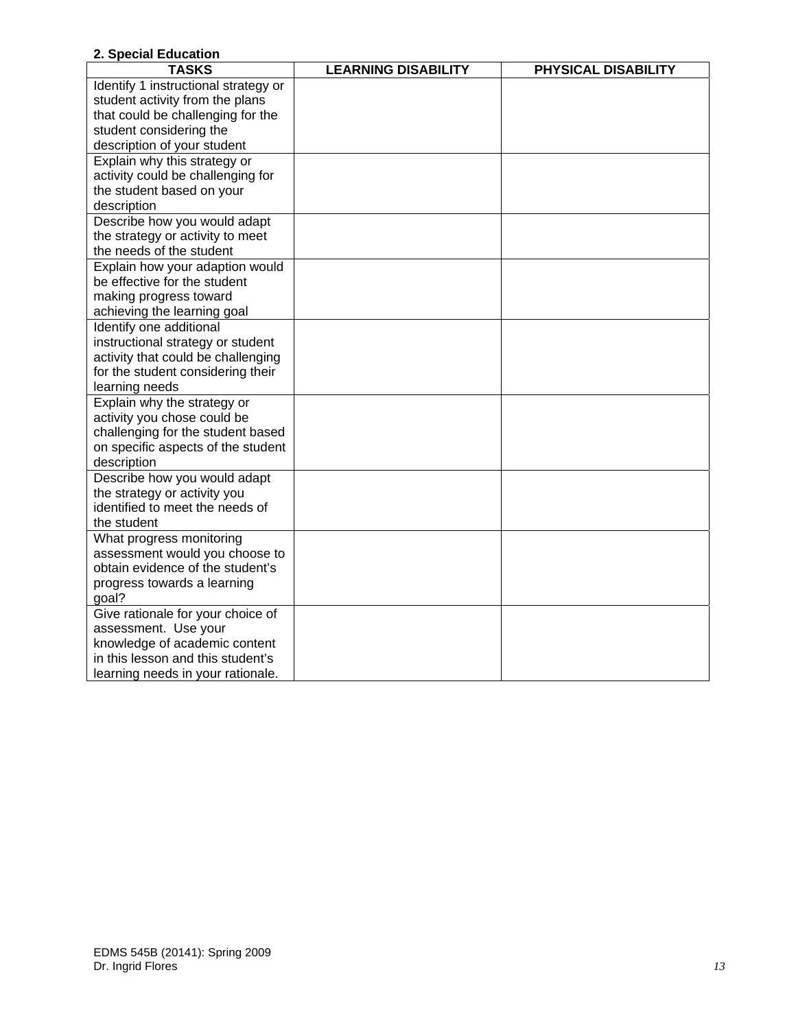# **2. Special Education**

| <b>TASKS</b>                                                       | <b>LEARNING DISABILITY</b> | PHYSICAL DISABILITY |
|--------------------------------------------------------------------|----------------------------|---------------------|
| Identify 1 instructional strategy or                               |                            |                     |
| student activity from the plans                                    |                            |                     |
| that could be challenging for the                                  |                            |                     |
| student considering the                                            |                            |                     |
| description of your student                                        |                            |                     |
| Explain why this strategy or                                       |                            |                     |
| activity could be challenging for                                  |                            |                     |
| the student based on your                                          |                            |                     |
| description                                                        |                            |                     |
| Describe how you would adapt                                       |                            |                     |
| the strategy or activity to meet                                   |                            |                     |
| the needs of the student                                           |                            |                     |
| Explain how your adaption would                                    |                            |                     |
| be effective for the student                                       |                            |                     |
| making progress toward                                             |                            |                     |
| achieving the learning goal                                        |                            |                     |
| Identify one additional                                            |                            |                     |
| instructional strategy or student                                  |                            |                     |
| activity that could be challenging                                 |                            |                     |
| for the student considering their                                  |                            |                     |
| learning needs                                                     |                            |                     |
| Explain why the strategy or                                        |                            |                     |
| activity you chose could be                                        |                            |                     |
| challenging for the student based                                  |                            |                     |
| on specific aspects of the student                                 |                            |                     |
| description                                                        |                            |                     |
| Describe how you would adapt                                       |                            |                     |
| the strategy or activity you                                       |                            |                     |
| identified to meet the needs of                                    |                            |                     |
| the student                                                        |                            |                     |
| What progress monitoring                                           |                            |                     |
| assessment would you choose to                                     |                            |                     |
| obtain evidence of the student's                                   |                            |                     |
| progress towards a learning                                        |                            |                     |
| goal?                                                              |                            |                     |
| Give rationale for your choice of                                  |                            |                     |
| assessment. Use your                                               |                            |                     |
| knowledge of academic content<br>in this lesson and this student's |                            |                     |
|                                                                    |                            |                     |
| learning needs in your rationale.                                  |                            |                     |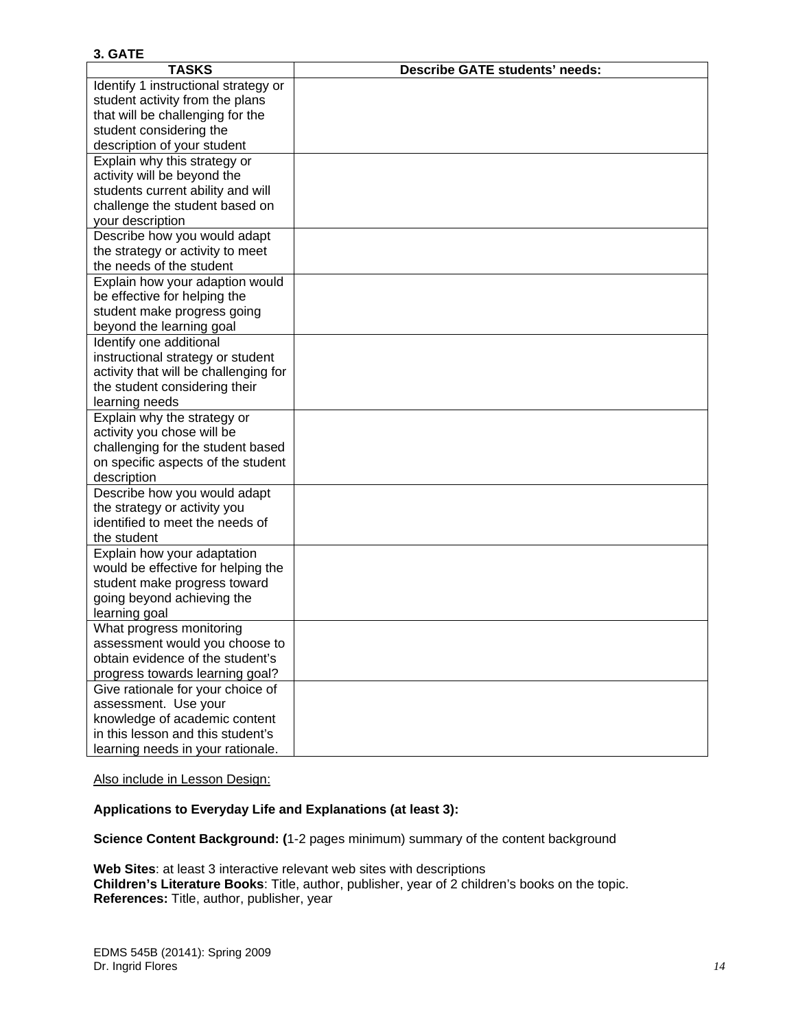| J. UM I L                             |                                       |
|---------------------------------------|---------------------------------------|
| <b>TASKS</b>                          | <b>Describe GATE students' needs:</b> |
| Identify 1 instructional strategy or  |                                       |
| student activity from the plans       |                                       |
| that will be challenging for the      |                                       |
| student considering the               |                                       |
| description of your student           |                                       |
| Explain why this strategy or          |                                       |
| activity will be beyond the           |                                       |
| students current ability and will     |                                       |
| challenge the student based on        |                                       |
| your description                      |                                       |
| Describe how you would adapt          |                                       |
| the strategy or activity to meet      |                                       |
| the needs of the student              |                                       |
| Explain how your adaption would       |                                       |
| be effective for helping the          |                                       |
| student make progress going           |                                       |
| beyond the learning goal              |                                       |
| Identify one additional               |                                       |
| instructional strategy or student     |                                       |
| activity that will be challenging for |                                       |
| the student considering their         |                                       |
| learning needs                        |                                       |
| Explain why the strategy or           |                                       |
| activity you chose will be            |                                       |
| challenging for the student based     |                                       |
| on specific aspects of the student    |                                       |
| description                           |                                       |
| Describe how you would adapt          |                                       |
| the strategy or activity you          |                                       |
| identified to meet the needs of       |                                       |
| the student                           |                                       |
| Explain how your adaptation           |                                       |
| would be effective for helping the    |                                       |
| student make progress toward          |                                       |
| going beyond achieving the            |                                       |
| learning goal                         |                                       |
| What progress monitoring              |                                       |
| assessment would you choose to        |                                       |
| obtain evidence of the student's      |                                       |
| progress towards learning goal?       |                                       |
| Give rationale for your choice of     |                                       |
| assessment. Use your                  |                                       |
| knowledge of academic content         |                                       |
| in this lesson and this student's     |                                       |
| learning needs in your rationale.     |                                       |

Also include in Lesson Design:

# **Applications to Everyday Life and Explanations (at least 3):**

**Science Content Background: (**1-2 pages minimum) summary of the content background

**Web Sites**: at least 3 interactive relevant web sites with descriptions **Children's Literature Books**: Title, author, publisher, year of 2 children's books on the topic. **References:** Title, author, publisher, year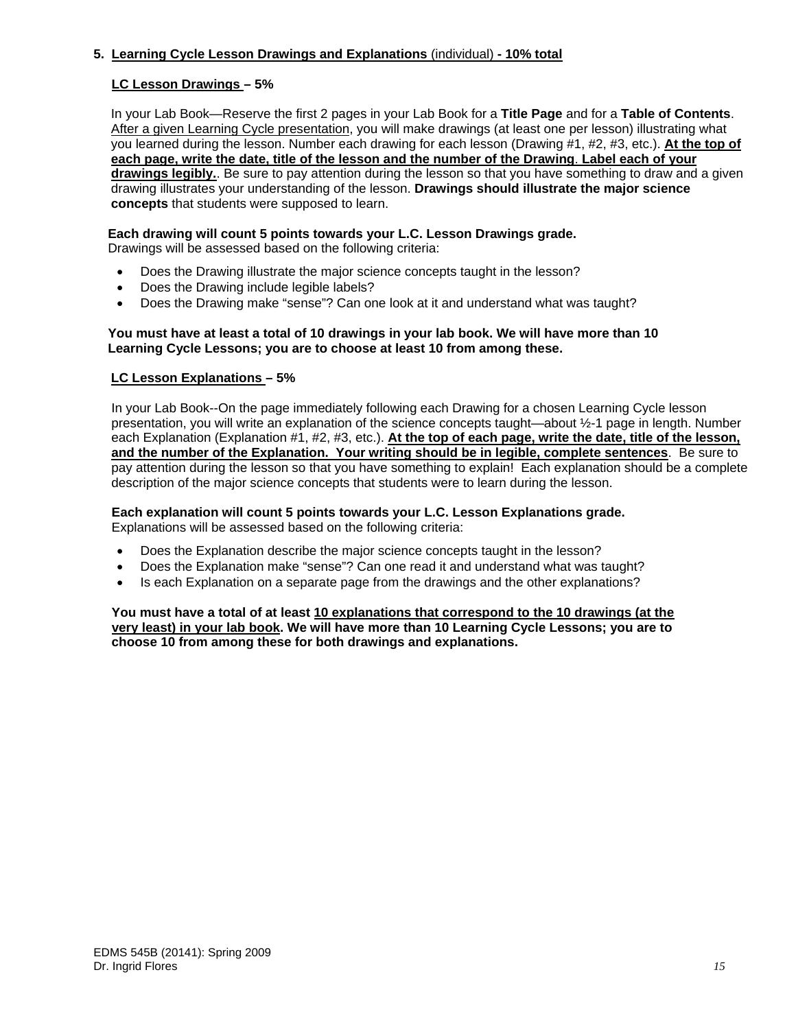# **5. Learning Cycle Lesson Drawings and Explanations** (individual) **- 10% total**

## **LC Lesson Drawings – 5%**

In your Lab Book—Reserve the first 2 pages in your Lab Book for a **Title Page** and for a **Table of Contents**. After a given Learning Cycle presentation, you will make drawings (at least one per lesson) illustrating what you learned during the lesson. Number each drawing for each lesson (Drawing #1, #2, #3, etc.). **At the top of each page, write the date, title of the lesson and the number of the Drawing**. **Label each of your drawings legibly.**. Be sure to pay attention during the lesson so that you have something to draw and a given drawing illustrates your understanding of the lesson. **Drawings should illustrate the major science concepts** that students were supposed to learn.

# **Each drawing will count 5 points towards your L.C. Lesson Drawings grade.**

Drawings will be assessed based on the following criteria:

- Does the Drawing illustrate the major science concepts taught in the lesson?
- Does the Drawing include legible labels?
- Does the Drawing make "sense"? Can one look at it and understand what was taught?

### **You must have at least a total of 10 drawings in your lab book. We will have more than 10 Learning Cycle Lessons; you are to choose at least 10 from among these.**

## **LC Lesson Explanations – 5%**

In your Lab Book--On the page immediately following each Drawing for a chosen Learning Cycle lesson presentation, you will write an explanation of the science concepts taught—about ½-1 page in length. Number each Explanation (Explanation #1, #2, #3, etc.). **At the top of each page, write the date, title of the lesson, and the number of the Explanation. Your writing should be in legible, complete sentences**. Be sure to pay attention during the lesson so that you have something to explain! Each explanation should be a complete description of the major science concepts that students were to learn during the lesson.

### **Each explanation will count 5 points towards your L.C. Lesson Explanations grade.**  Explanations will be assessed based on the following criteria:

- Does the Explanation describe the major science concepts taught in the lesson?
- Does the Explanation make "sense"? Can one read it and understand what was taught?
- Is each Explanation on a separate page from the drawings and the other explanations?

 **You must have a total of at least 10 explanations that correspond to the 10 drawings (at the very least) in your lab book. We will have more than 10 Learning Cycle Lessons; you are to choose 10 from among these for both drawings and explanations.**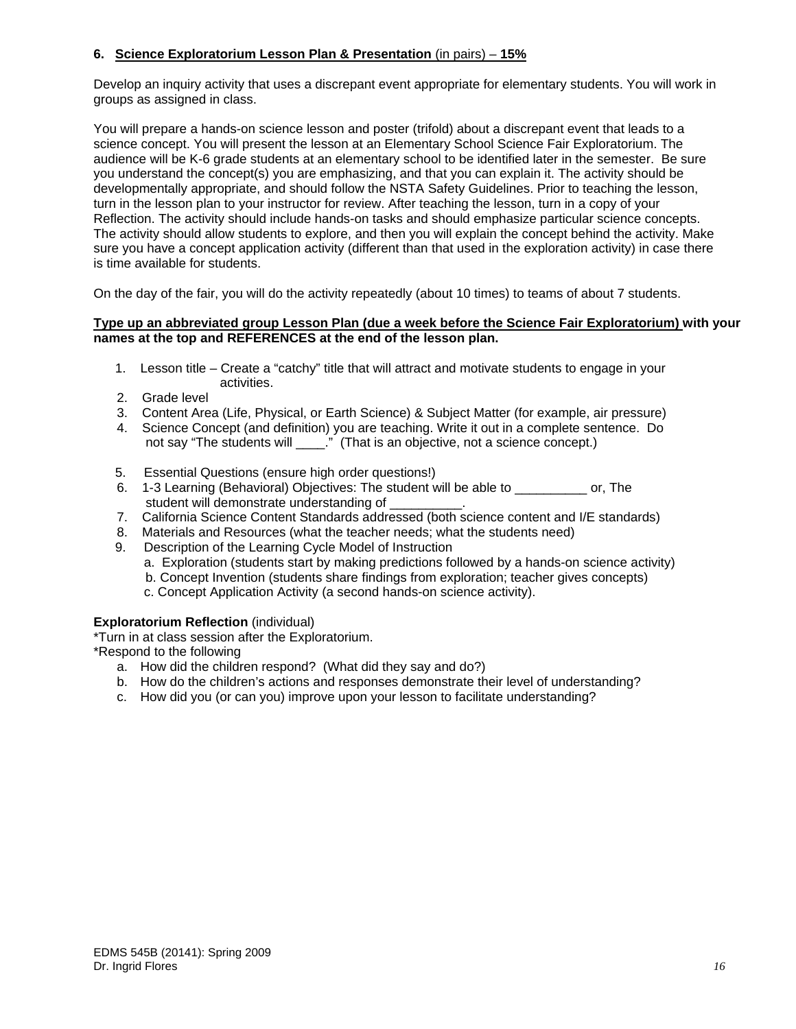# **6. Science Exploratorium Lesson Plan & Presentation** (in pairs) – **15%**

Develop an inquiry activity that uses a discrepant event appropriate for elementary students. You will work in groups as assigned in class.

You will prepare a hands-on science lesson and poster (trifold) about a discrepant event that leads to a science concept. You will present the lesson at an Elementary School Science Fair Exploratorium. The audience will be K-6 grade students at an elementary school to be identified later in the semester. Be sure you understand the concept(s) you are emphasizing, and that you can explain it. The activity should be developmentally appropriate, and should follow the NSTA Safety Guidelines. Prior to teaching the lesson, turn in the lesson plan to your instructor for review. After teaching the lesson, turn in a copy of your Reflection. The activity should include hands-on tasks and should emphasize particular science concepts. The activity should allow students to explore, and then you will explain the concept behind the activity. Make sure you have a concept application activity (different than that used in the exploration activity) in case there is time available for students.

On the day of the fair, you will do the activity repeatedly (about 10 times) to teams of about 7 students.

### **Type up an abbreviated group Lesson Plan (due a week before the Science Fair Exploratorium) with your names at the top and REFERENCES at the end of the lesson plan.**

- 1. Lesson title Create a "catchy" title that will attract and motivate students to engage in your activities.
- 2. Grade level
- 3. Content Area (Life, Physical, or Earth Science) & Subject Matter (for example, air pressure)
- 4. Science Concept (and definition) you are teaching. Write it out in a complete sentence. Do not say "The students will \_\_\_\_." (That is an objective, not a science concept.)
- 5. Essential Questions (ensure high order questions!)
- 6. 1-3 Learning (Behavioral) Objectives: The student will be able to \_\_\_\_\_\_\_\_\_\_ or, The student will demonstrate understanding of
- 7. California Science Content Standards addressed (both science content and I/E standards)
- 8. Materials and Resources (what the teacher needs; what the students need)
- 9. Description of the Learning Cycle Model of Instruction
	- a. Exploration (students start by making predictions followed by a hands-on science activity)
	- b. Concept Invention (students share findings from exploration; teacher gives concepts)
	- c. Concept Application Activity (a second hands-on science activity).

## **Exploratorium Reflection** (individual)

\*Turn in at class session after the Exploratorium.

\*Respond to the following

- a. How did the children respond? (What did they say and do?)
- b. How do the children's actions and responses demonstrate their level of understanding?
- c. How did you (or can you) improve upon your lesson to facilitate understanding?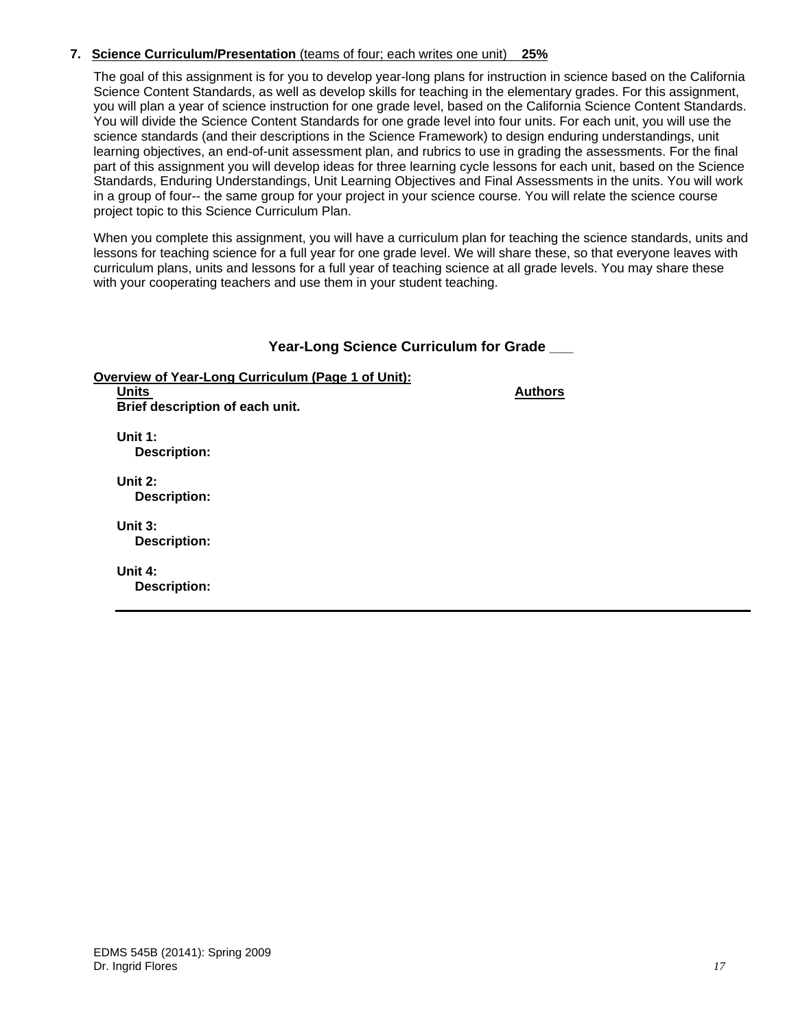## **7. Science Curriculum/Presentation** (teams of four; each writes one unit) **25%**

The goal of this assignment is for you to develop year-long plans for instruction in science based on the California Science Content Standards, as well as develop skills for teaching in the elementary grades. For this assignment, you will plan a year of science instruction for one grade level, based on the California Science Content Standards. You will divide the Science Content Standards for one grade level into four units. For each unit, you will use the science standards (and their descriptions in the Science Framework) to design enduring understandings, unit learning objectives, an end-of-unit assessment plan, and rubrics to use in grading the assessments. For the final part of this assignment you will develop ideas for three learning cycle lessons for each unit, based on the Science Standards, Enduring Understandings, Unit Learning Objectives and Final Assessments in the units. You will work in a group of four-- the same group for your project in your science course. You will relate the science course project topic to this Science Curriculum Plan.

When you complete this assignment, you will have a curriculum plan for teaching the science standards, units and lessons for teaching science for a full year for one grade level. We will share these, so that everyone leaves with curriculum plans, units and lessons for a full year of teaching science at all grade levels. You may share these with your cooperating teachers and use them in your student teaching.

# **Year-Long Science Curriculum for Grade \_\_\_**

**Overview of Year-Long Curriculum (Page 1 of Unit): Units Authors** Authors **Authors** 

**Brief description of each unit.** 

**Unit 1: Description:** 

**Unit 2: Description:** 

**Unit 3: Description:** 

**Unit 4: Description:**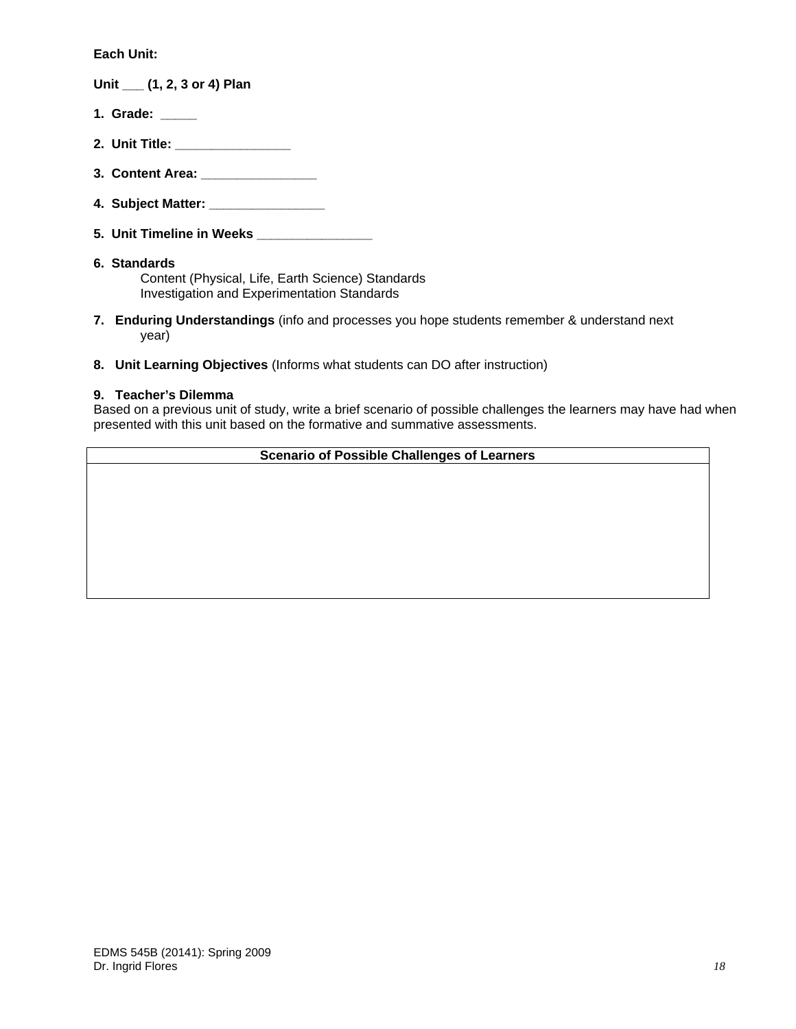**Each Unit:** 

- **Unit \_\_\_ (1, 2, 3 or 4) Plan**
- **1. Grade: \_\_\_\_\_**
- **2. Unit Title: \_\_\_\_\_\_\_\_\_\_\_\_\_\_\_\_**
- **3. Content Area: \_\_\_\_\_\_\_\_\_\_\_\_\_\_\_\_**
- **4. Subject Matter: \_\_\_\_\_\_\_\_\_\_\_\_\_\_\_\_**
- **5. Unit Timeline in Weeks \_\_\_\_\_\_\_\_\_\_\_\_\_\_\_\_**
- **6. Standards**  Content (Physical, Life, Earth Science) Standards Investigation and Experimentation Standards
- **7. Enduring Understandings** (info and processes you hope students remember & understand next year)
- **8. Unit Learning Objectives** (Informs what students can DO after instruction)

## **9. Teacher's Dilemma**

Based on a previous unit of study, write a brief scenario of possible challenges the learners may have had when presented with this unit based on the formative and summative assessments.

## **Scenario of Possible Challenges of Learners**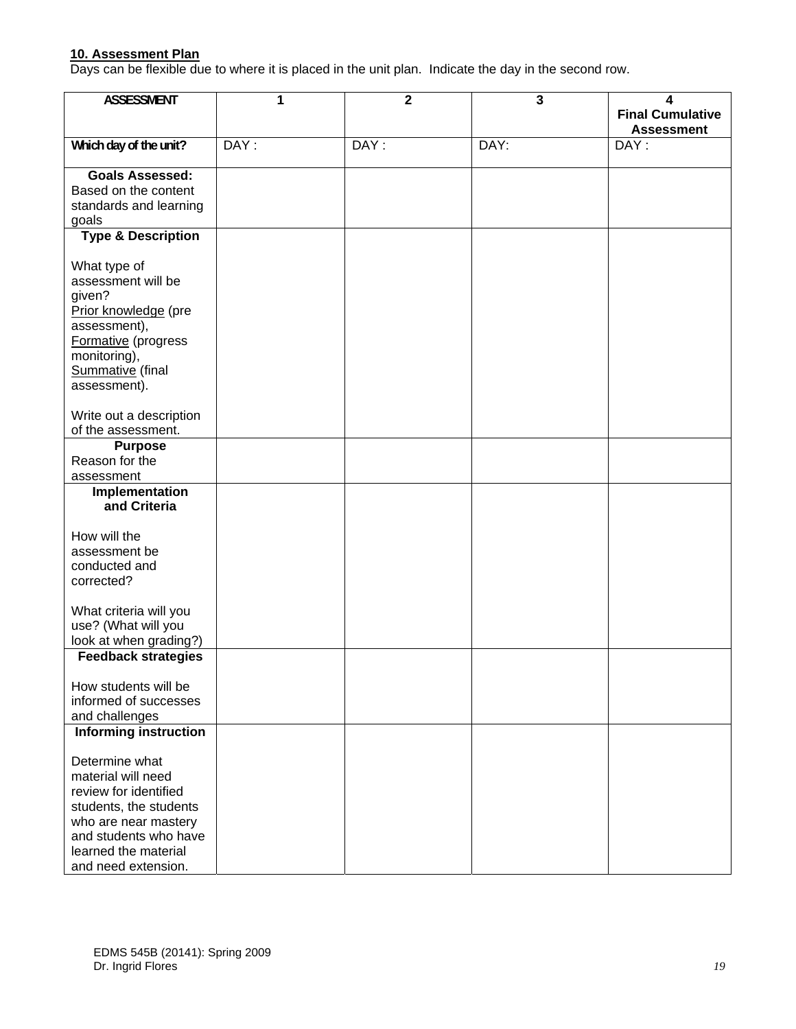## **10. Assessment Plan**

Days can be flexible due to where it is placed in the unit plan. Indicate the day in the second row.

| <b>ASSESSMENT</b>                                                                                                                                                                       | 1    | $\overline{\mathbf{2}}$ | $\overline{\mathbf{3}}$ | 4<br><b>Final Cumulative</b><br><b>Assessment</b> |
|-----------------------------------------------------------------------------------------------------------------------------------------------------------------------------------------|------|-------------------------|-------------------------|---------------------------------------------------|
| Which day of the unit?                                                                                                                                                                  | DAY: | DAY:                    | DAY:                    | DAY:                                              |
| <b>Goals Assessed:</b><br>Based on the content<br>standards and learning<br>goals                                                                                                       |      |                         |                         |                                                   |
| <b>Type &amp; Description</b>                                                                                                                                                           |      |                         |                         |                                                   |
| What type of<br>assessment will be<br>given?<br>Prior knowledge (pre<br>assessment),<br><b>Formative</b> (progress<br>monitoring),<br>Summative (final<br>assessment).                  |      |                         |                         |                                                   |
| Write out a description<br>of the assessment.                                                                                                                                           |      |                         |                         |                                                   |
| <b>Purpose</b><br>Reason for the<br>assessment                                                                                                                                          |      |                         |                         |                                                   |
| Implementation<br>and Criteria                                                                                                                                                          |      |                         |                         |                                                   |
| How will the<br>assessment be<br>conducted and<br>corrected?                                                                                                                            |      |                         |                         |                                                   |
| What criteria will you<br>use? (What will you<br>look at when grading?)                                                                                                                 |      |                         |                         |                                                   |
| <b>Feedback strategies</b><br>How students will be<br>informed of successes                                                                                                             |      |                         |                         |                                                   |
| and challenges<br><b>Informing instruction</b>                                                                                                                                          |      |                         |                         |                                                   |
| Determine what<br>material will need<br>review for identified<br>students, the students<br>who are near mastery<br>and students who have<br>learned the material<br>and need extension. |      |                         |                         |                                                   |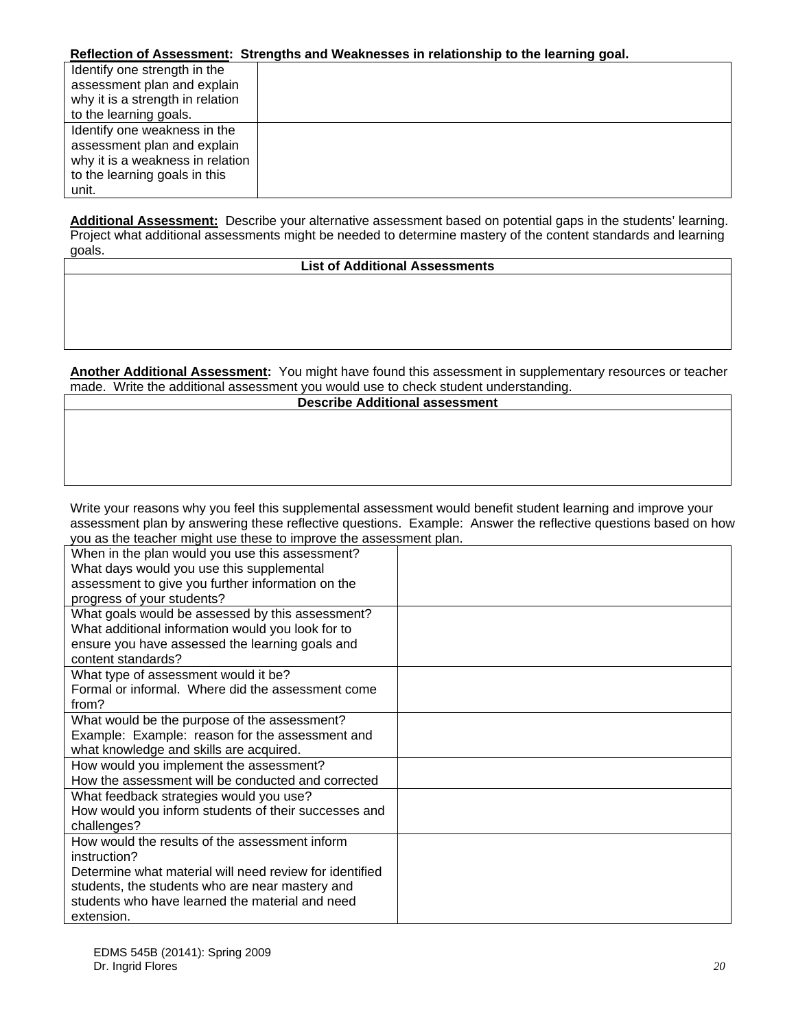## **Reflection of Assessment: Strengths and Weaknesses in relationship to the learning goal.**

|                                  | . |
|----------------------------------|---|
| Identify one strength in the     |   |
| assessment plan and explain      |   |
| why it is a strength in relation |   |
| to the learning goals.           |   |
| Identify one weakness in the     |   |
| assessment plan and explain      |   |
| why it is a weakness in relation |   |
| to the learning goals in this    |   |
| unit.                            |   |

 **Additional Assessment:** Describe your alternative assessment based on potential gaps in the students' learning. Project what additional assessments might be needed to determine mastery of the content standards and learning goals.

### **List of Additional Assessments**

**Another Additional Assessment:** You might have found this assessment in supplementary resources or teacher made. Write the additional assessment you would use to check student understanding.

#### **Describe Additional assessment**

Write your reasons why you feel this supplemental assessment would benefit student learning and improve your assessment plan by answering these reflective questions. Example: Answer the reflective questions based on how you as the teacher might use these to improve the assessment plan.

| When in the plan would you use this assessment?         |  |
|---------------------------------------------------------|--|
| What days would you use this supplemental               |  |
| assessment to give you further information on the       |  |
| progress of your students?                              |  |
| What goals would be assessed by this assessment?        |  |
| What additional information would you look for to       |  |
| ensure you have assessed the learning goals and         |  |
| content standards?                                      |  |
| What type of assessment would it be?                    |  |
| Formal or informal. Where did the assessment come       |  |
| from?                                                   |  |
| What would be the purpose of the assessment?            |  |
| Example: Example: reason for the assessment and         |  |
| what knowledge and skills are acquired.                 |  |
| How would you implement the assessment?                 |  |
| How the assessment will be conducted and corrected      |  |
| What feedback strategies would you use?                 |  |
| How would you inform students of their successes and    |  |
| challenges?                                             |  |
| How would the results of the assessment inform          |  |
| instruction?                                            |  |
| Determine what material will need review for identified |  |
| students, the students who are near mastery and         |  |
| students who have learned the material and need         |  |
| extension.                                              |  |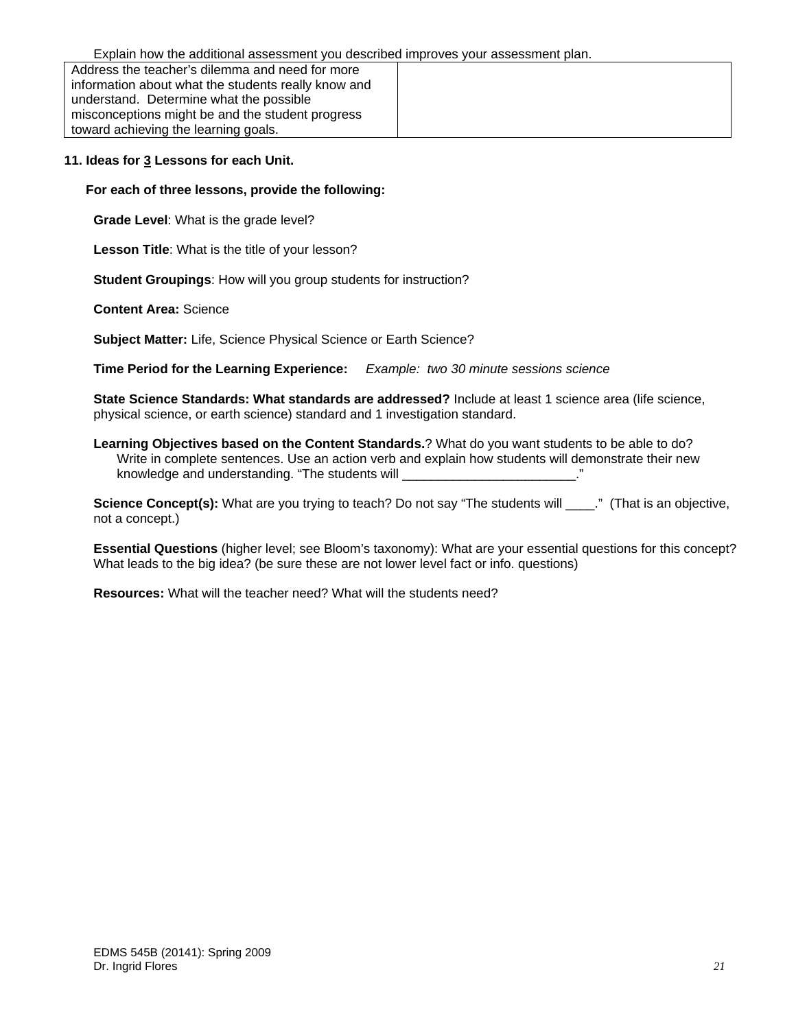Explain how the additional assessment you described improves your assessment plan.

Address the teacher's dilemma and need for more information about what the students really know and understand. Determine what the possible misconceptions might be and the student progress toward achieving the learning goals.

# **11. Ideas for 3 Lessons for each Unit.**

# **For each of three lessons, provide the following:**

**Grade Level**: What is the grade level?

**Lesson Title**: What is the title of your lesson?

**Student Groupings**: How will you group students for instruction?

**Content Area:** Science

**Subject Matter:** Life, Science Physical Science or Earth Science?

**Time Period for the Learning Experience:** *Example: two 30 minute sessions science* 

**State Science Standards: What standards are addressed?** Include at least 1 science area (life science, physical science, or earth science) standard and 1 investigation standard.

**Learning Objectives based on the Content Standards.**? What do you want students to be able to do? Write in complete sentences. Use an action verb and explain how students will demonstrate their new knowledge and understanding. "The students will example the students will contain the students of the students

**Science Concept(s):** What are you trying to teach? Do not say "The students will \_\_\_\_." (That is an objective, not a concept.)

**Essential Questions** (higher level; see Bloom's taxonomy): What are your essential questions for this concept? What leads to the big idea? (be sure these are not lower level fact or info. questions)

**Resources:** What will the teacher need? What will the students need?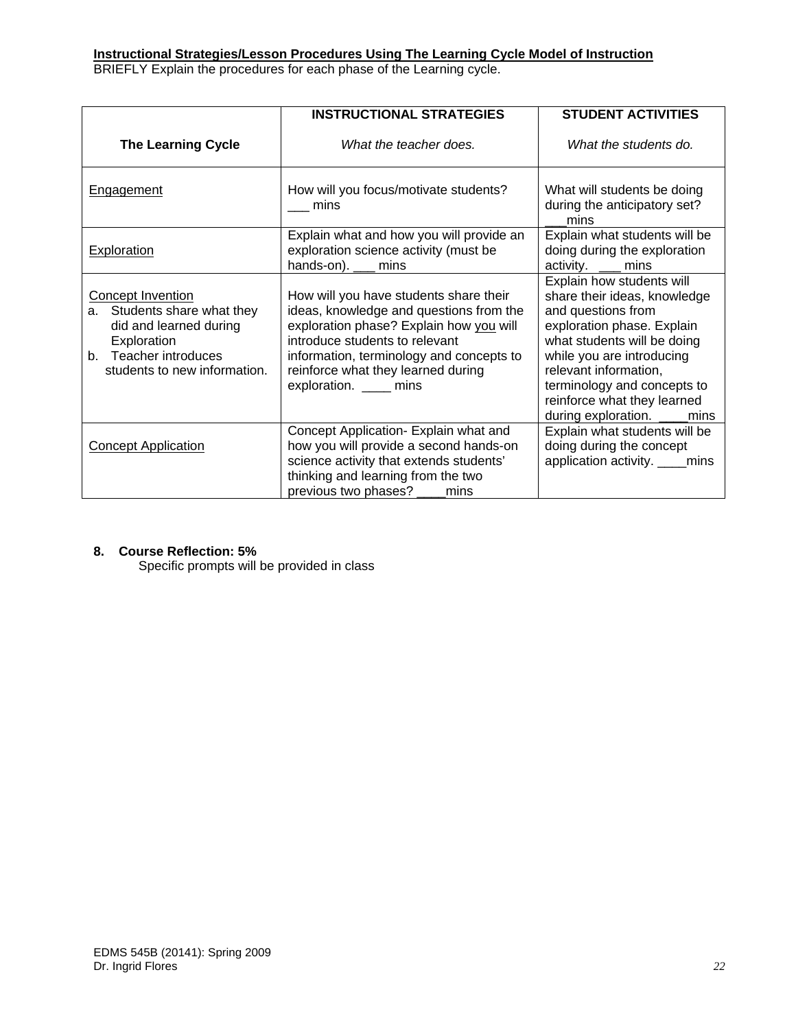BRIEFLY Explain the procedures for each phase of the Learning cycle.

|                                                                                                                                                           | <b>INSTRUCTIONAL STRATEGIES</b>                                                                                                                                                                                                                                            | <b>STUDENT ACTIVITIES</b>                                                                                                                                                                                                                                                                            |
|-----------------------------------------------------------------------------------------------------------------------------------------------------------|----------------------------------------------------------------------------------------------------------------------------------------------------------------------------------------------------------------------------------------------------------------------------|------------------------------------------------------------------------------------------------------------------------------------------------------------------------------------------------------------------------------------------------------------------------------------------------------|
| <b>The Learning Cycle</b>                                                                                                                                 | What the teacher does.                                                                                                                                                                                                                                                     | What the students do.                                                                                                                                                                                                                                                                                |
| <b>Engagement</b>                                                                                                                                         | How will you focus/motivate students?<br>mins                                                                                                                                                                                                                              | What will students be doing<br>during the anticipatory set?<br>mins                                                                                                                                                                                                                                  |
| <b>Exploration</b>                                                                                                                                        | Explain what and how you will provide an<br>exploration science activity (must be<br>hands-on). <u>___</u> mins                                                                                                                                                            | Explain what students will be<br>doing during the exploration<br>activity. <u>__</u> mins                                                                                                                                                                                                            |
| <b>Concept Invention</b><br>a. Students share what they<br>did and learned during<br>Exploration<br>b. Teacher introduces<br>students to new information. | How will you have students share their<br>ideas, knowledge and questions from the<br>exploration phase? Explain how you will<br>introduce students to relevant<br>information, terminology and concepts to<br>reinforce what they learned during<br>exploration. ____ mins | Explain how students will<br>share their ideas, knowledge<br>and questions from<br>exploration phase. Explain<br>what students will be doing<br>while you are introducing<br>relevant information,<br>terminology and concepts to<br>reinforce what they learned<br>during exploration. ____<br>mins |
| <b>Concept Application</b>                                                                                                                                | Concept Application- Explain what and<br>how you will provide a second hands-on<br>science activity that extends students'<br>thinking and learning from the two<br>previous two phases? ____ mins                                                                         | Explain what students will be<br>doing during the concept<br>application activity. ____mins                                                                                                                                                                                                          |

## **8. Course Reflection: 5%**

Specific prompts will be provided in class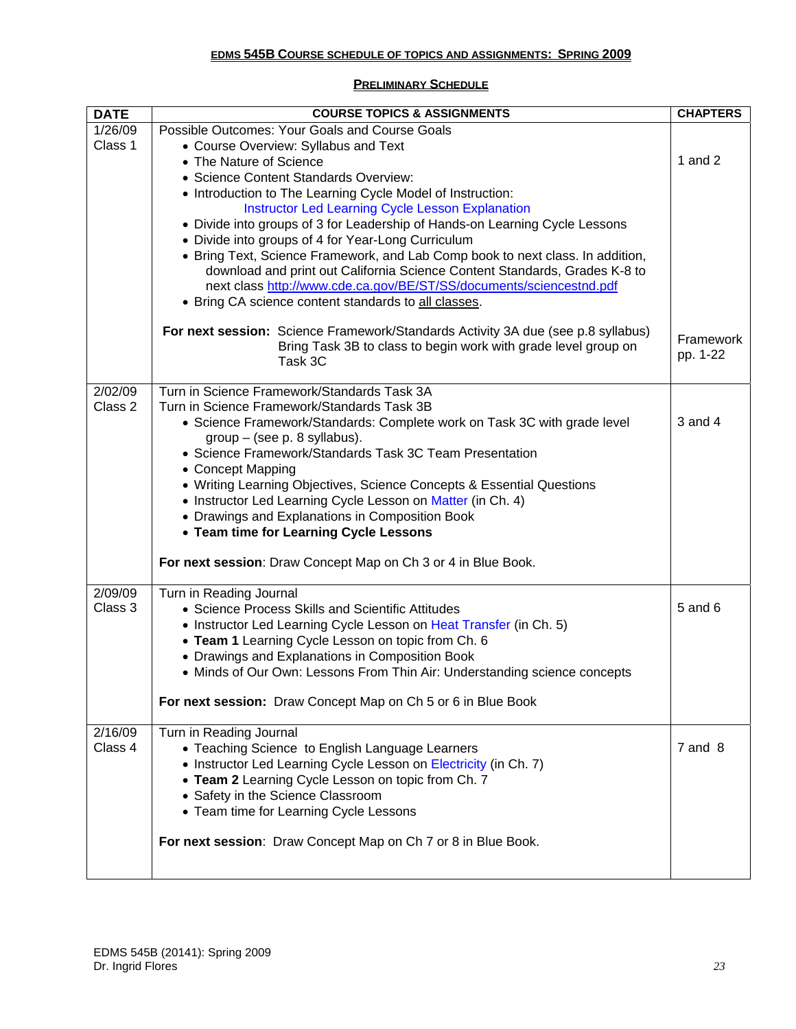### **EDMS 545B COURSE SCHEDULE OF TOPICS AND ASSIGNMENTS: SPRING 2009**

# **PRELIMINARY SCHEDULE**

| <b>DATE</b>        | <b>COURSE TOPICS &amp; ASSIGNMENTS</b>                                                                                                             | <b>CHAPTERS</b>       |
|--------------------|----------------------------------------------------------------------------------------------------------------------------------------------------|-----------------------|
| 1/26/09            | Possible Outcomes: Your Goals and Course Goals                                                                                                     |                       |
| Class 1            | • Course Overview: Syllabus and Text                                                                                                               |                       |
|                    | • The Nature of Science                                                                                                                            | 1 and $2$             |
|                    | • Science Content Standards Overview:                                                                                                              |                       |
|                    | • Introduction to The Learning Cycle Model of Instruction:                                                                                         |                       |
|                    | <b>Instructor Led Learning Cycle Lesson Explanation</b>                                                                                            |                       |
|                    | • Divide into groups of 3 for Leadership of Hands-on Learning Cycle Lessons                                                                        |                       |
|                    | • Divide into groups of 4 for Year-Long Curriculum                                                                                                 |                       |
|                    | • Bring Text, Science Framework, and Lab Comp book to next class. In addition,                                                                     |                       |
|                    | download and print out California Science Content Standards, Grades K-8 to<br>next class http://www.cde.ca.gov/BE/ST/SS/documents/sciencestnd.pdf  |                       |
|                    | • Bring CA science content standards to all classes.                                                                                               |                       |
|                    |                                                                                                                                                    |                       |
|                    | For next session: Science Framework/Standards Activity 3A due (see p.8 syllabus)<br>Bring Task 3B to class to begin work with grade level group on | Framework<br>pp. 1-22 |
|                    | Task 3C                                                                                                                                            |                       |
| 2/02/09            | Turn in Science Framework/Standards Task 3A                                                                                                        |                       |
| Class <sub>2</sub> | Turn in Science Framework/Standards Task 3B                                                                                                        |                       |
|                    | • Science Framework/Standards: Complete work on Task 3C with grade level                                                                           | $3$ and $4$           |
|                    | $group - (see p. 8 syllabus).$                                                                                                                     |                       |
|                    | • Science Framework/Standards Task 3C Team Presentation                                                                                            |                       |
|                    | • Concept Mapping                                                                                                                                  |                       |
|                    | • Writing Learning Objectives, Science Concepts & Essential Questions                                                                              |                       |
|                    | • Instructor Led Learning Cycle Lesson on Matter (in Ch. 4)                                                                                        |                       |
|                    | • Drawings and Explanations in Composition Book                                                                                                    |                       |
|                    | • Team time for Learning Cycle Lessons                                                                                                             |                       |
|                    | For next session: Draw Concept Map on Ch 3 or 4 in Blue Book.                                                                                      |                       |
| 2/09/09            | Turn in Reading Journal                                                                                                                            |                       |
| Class 3            | • Science Process Skills and Scientific Attitudes                                                                                                  | 5 and 6               |
|                    | • Instructor Led Learning Cycle Lesson on Heat Transfer (in Ch. 5)                                                                                 |                       |
|                    | • Team 1 Learning Cycle Lesson on topic from Ch. 6                                                                                                 |                       |
|                    | • Drawings and Explanations in Composition Book                                                                                                    |                       |
|                    | • Minds of Our Own: Lessons From Thin Air: Understanding science concepts                                                                          |                       |
|                    | For next session: Draw Concept Map on Ch 5 or 6 in Blue Book                                                                                       |                       |
| 2/16/09            | Turn in Reading Journal                                                                                                                            |                       |
| Class 4            | • Teaching Science to English Language Learners                                                                                                    | $7$ and $8$           |
|                    | • Instructor Led Learning Cycle Lesson on Electricity (in Ch. 7)                                                                                   |                       |
|                    | • Team 2 Learning Cycle Lesson on topic from Ch. 7                                                                                                 |                       |
|                    | • Safety in the Science Classroom                                                                                                                  |                       |
|                    | • Team time for Learning Cycle Lessons                                                                                                             |                       |
|                    | For next session: Draw Concept Map on Ch 7 or 8 in Blue Book.                                                                                      |                       |
|                    |                                                                                                                                                    |                       |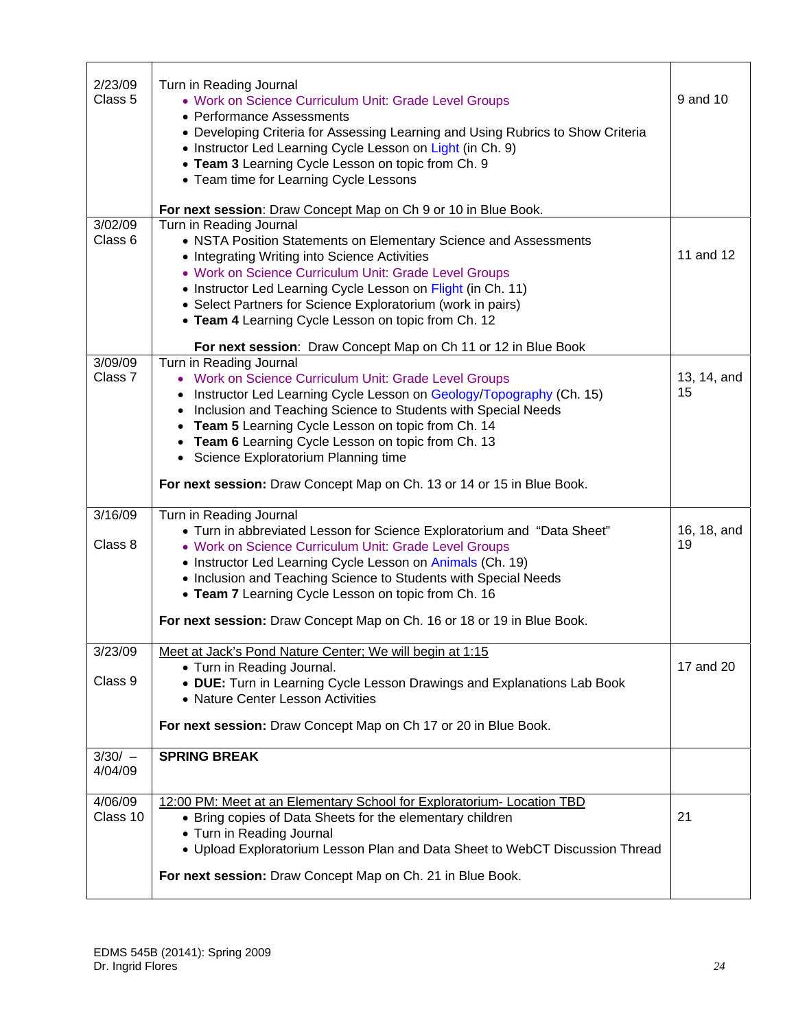| 2/23/09<br>Class 5 | Turn in Reading Journal<br>• Work on Science Curriculum Unit: Grade Level Groups                                                 | 9 and 10          |
|--------------------|----------------------------------------------------------------------------------------------------------------------------------|-------------------|
|                    | • Performance Assessments                                                                                                        |                   |
|                    | • Developing Criteria for Assessing Learning and Using Rubrics to Show Criteria                                                  |                   |
|                    | • Instructor Led Learning Cycle Lesson on Light (in Ch. 9)<br>• Team 3 Learning Cycle Lesson on topic from Ch. 9                 |                   |
|                    | • Team time for Learning Cycle Lessons                                                                                           |                   |
|                    | For next session: Draw Concept Map on Ch 9 or 10 in Blue Book.                                                                   |                   |
| 3/02/09            | Turn in Reading Journal                                                                                                          |                   |
| Class 6            | • NSTA Position Statements on Elementary Science and Assessments                                                                 |                   |
|                    | • Integrating Writing into Science Activities                                                                                    | 11 and 12         |
|                    | • Work on Science Curriculum Unit: Grade Level Groups                                                                            |                   |
|                    | • Instructor Led Learning Cycle Lesson on Flight (in Ch. 11)<br>• Select Partners for Science Exploratorium (work in pairs)      |                   |
|                    | • Team 4 Learning Cycle Lesson on topic from Ch. 12                                                                              |                   |
|                    | For next session: Draw Concept Map on Ch 11 or 12 in Blue Book                                                                   |                   |
| 3/09/09            | Turn in Reading Journal                                                                                                          |                   |
| Class 7            | • Work on Science Curriculum Unit: Grade Level Groups                                                                            | 13, 14, and       |
|                    | • Instructor Led Learning Cycle Lesson on Geology/Topography (Ch. 15)                                                            | 15                |
|                    | • Inclusion and Teaching Science to Students with Special Needs<br>• Team 5 Learning Cycle Lesson on topic from Ch. 14           |                   |
|                    | • Team 6 Learning Cycle Lesson on topic from Ch. 13                                                                              |                   |
|                    | • Science Exploratorium Planning time                                                                                            |                   |
|                    | For next session: Draw Concept Map on Ch. 13 or 14 or 15 in Blue Book.                                                           |                   |
|                    |                                                                                                                                  |                   |
| 3/16/09            | Turn in Reading Journal                                                                                                          |                   |
| Class 8            | • Turn in abbreviated Lesson for Science Exploratorium and "Data Sheet"<br>• Work on Science Curriculum Unit: Grade Level Groups | 16, 18, and<br>19 |
|                    | • Instructor Led Learning Cycle Lesson on Animals (Ch. 19)                                                                       |                   |
|                    | • Inclusion and Teaching Science to Students with Special Needs                                                                  |                   |
|                    | • Team 7 Learning Cycle Lesson on topic from Ch. 16                                                                              |                   |
|                    | For next session: Draw Concept Map on Ch. 16 or 18 or 19 in Blue Book.                                                           |                   |
| 3/23/09            | Meet at Jack's Pond Nature Center; We will begin at 1:15                                                                         |                   |
| Class 9            | • Turn in Reading Journal.                                                                                                       | 17 and 20         |
|                    | • DUE: Turn in Learning Cycle Lesson Drawings and Explanations Lab Book<br>• Nature Center Lesson Activities                     |                   |
|                    |                                                                                                                                  |                   |
|                    | For next session: Draw Concept Map on Ch 17 or 20 in Blue Book.                                                                  |                   |
| $3/30/ -$          | <b>SPRING BREAK</b>                                                                                                              |                   |
| 4/04/09            |                                                                                                                                  |                   |
| 4/06/09            | 12:00 PM: Meet at an Elementary School for Exploratorium- Location TBD                                                           |                   |
| Class 10           | • Bring copies of Data Sheets for the elementary children                                                                        | 21                |
|                    | • Turn in Reading Journal                                                                                                        |                   |
|                    | • Upload Exploratorium Lesson Plan and Data Sheet to WebCT Discussion Thread                                                     |                   |
|                    | For next session: Draw Concept Map on Ch. 21 in Blue Book.                                                                       |                   |